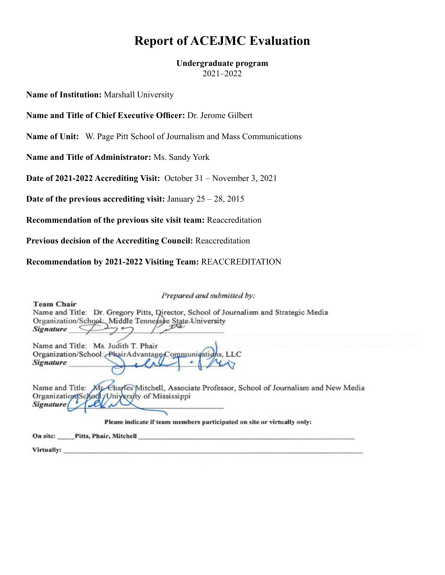# **Report of ACEJMC Evaluation**

## **Undergraduate program**

2021–2022

**Name of Institution:** Marshall University

**Name and Title of Chief Executive Officer:** Dr. Jerome Gilbert

**Name of Unit:** W. Page Pitt School of Journalism and Mass Communications

**Name and Title of Administrator:** Ms. Sandy York

**Date of 2021-2022 Accrediting Visit:** October 31 – November 3, 2021

**Date of the previous accrediting visit:** January 25 – 28, 2015

**Recommendation of the previous site visit team:** Reaccreditation

**Previous decision of the Accrediting Council:** Reaccreditation

**Recommendation by 2021-2022 Visiting Team:** REACCREDITATION

Prepared and submitted by: **Team Chair** Name and Title: Dr. Gregory Pitts, Director, School of Journalism and Strategic Media Organization/School: Middle Tennessee State University Signature  $\mathcal{L}$ Name and Title: Ms. Judith T. Phair Organization/School: PhairAdvantage Communications LC **Signature** Name and Title: Mr. Charles Mitchell, Associate Professor, School of Journalism and New Media Organization School / University of Mississippi **Signature** Please indicate if team members participated on site or virtually only: **Pitts, Phair, Mitchell** On site: Virtually: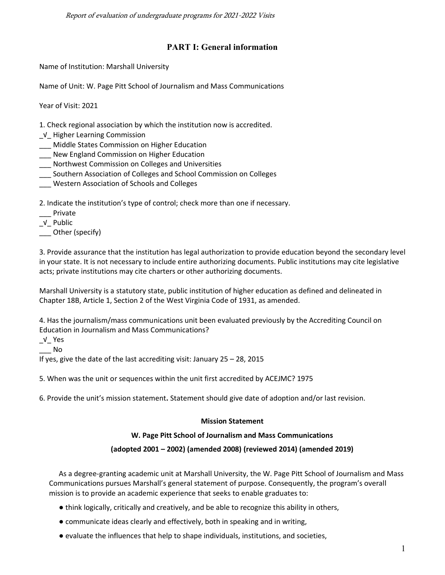Report of evaluation of undergraduate programs for 2021-2022 Visits

### **PART I: General information**

Name of Institution: Marshall University

Name of Unit: W. Page Pitt School of Journalism and Mass Communications

Year of Visit: 2021

1. Check regional association by which the institution now is accredited.

- \_√\_ Higher Learning Commission
- \_\_\_ Middle States Commission on Higher Education
- \_\_\_ New England Commission on Higher Education
- \_\_\_ Northwest Commission on Colleges and Universities
- \_\_\_ Southern Association of Colleges and School Commission on Colleges
- \_\_\_ Western Association of Schools and Colleges

2. Indicate the institution's type of control; check more than one if necessary.

- \_\_\_ Private
- \_√\_ Public

\_\_\_ Other (specify)

3. Provide assurance that the institution has legal authorization to provide education beyond the secondary level in your state. It is not necessary to include entire authorizing documents. Public institutions may cite legislative acts; private institutions may cite charters or other authorizing documents.

Marshall University is a statutory state, public institution of higher education as defined and delineated in Chapter 18B, Article 1, Section 2 of the West Virginia Code of 1931, as amended.

4. Has the journalism/mass communications unit been evaluated previously by the Accrediting Council on Education in Journalism and Mass Communications?

\_√\_ Yes

\_\_\_ No

If yes, give the date of the last accrediting visit: January 25 – 28, 2015

5. When was the unit or sequences within the unit first accredited by ACEJMC? 1975

6. Provide the unit's mission statement**.** Statement should give date of adoption and/or last revision.

### **Mission Statement**

### **W. Page Pitt School of Journalism and Mass Communications**

### **(adopted 2001 – 2002) (amended 2008) (reviewed 2014) (amended 2019)**

As a degree-granting academic unit at Marshall University, the W. Page Pitt School of Journalism and Mass Communications pursues Marshall's general statement of purpose. Consequently, the program's overall mission is to provide an academic experience that seeks to enable graduates to:

- think logically, critically and creatively, and be able to recognize this ability in others,
- communicate ideas clearly and effectively, both in speaking and in writing,
- evaluate the influences that help to shape individuals, institutions, and societies,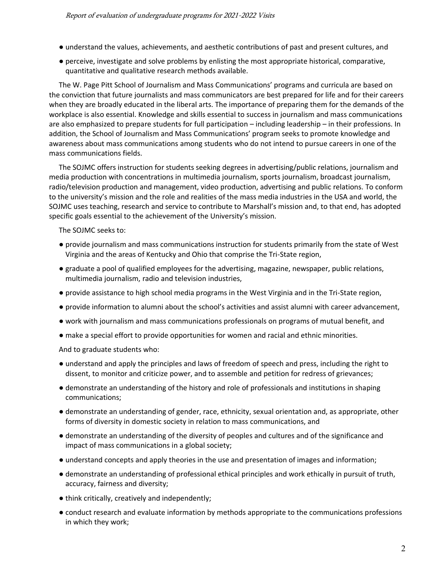- understand the values, achievements, and aesthetic contributions of past and present cultures, and
- perceive, investigate and solve problems by enlisting the most appropriate historical, comparative, quantitative and qualitative research methods available.

The W. Page Pitt School of Journalism and Mass Communications' programs and curricula are based on the conviction that future journalists and mass communicators are best prepared for life and for their careers when they are broadly educated in the liberal arts. The importance of preparing them for the demands of the workplace is also essential. Knowledge and skills essential to success in journalism and mass communications are also emphasized to prepare students for full participation – including leadership – in their professions. In addition, the School of Journalism and Mass Communications' program seeks to promote knowledge and awareness about mass communications among students who do not intend to pursue careers in one of the mass communications fields.

The SOJMC offers instruction for students seeking degrees in advertising/public relations, journalism and media production with concentrations in multimedia journalism, sports journalism, broadcast journalism, radio/television production and management, video production, advertising and public relations. To conform to the university's mission and the role and realities of the mass media industries in the USA and world, the SOJMC uses teaching, research and service to contribute to Marshall's mission and, to that end, has adopted specific goals essential to the achievement of the University's mission.

The SOJMC seeks to:

- provide journalism and mass communications instruction for students primarily from the state of West Virginia and the areas of Kentucky and Ohio that comprise the Tri-State region,
- graduate a pool of qualified employees for the advertising, magazine, newspaper, public relations, multimedia journalism, radio and television industries,
- provide assistance to high school media programs in the West Virginia and in the Tri-State region,
- provide information to alumni about the school's activities and assist alumni with career advancement,
- work with journalism and mass communications professionals on programs of mutual benefit, and
- make a special effort to provide opportunities for women and racial and ethnic minorities.

And to graduate students who:

- understand and apply the principles and laws of freedom of speech and press, including the right to dissent, to monitor and criticize power, and to assemble and petition for redress of grievances;
- demonstrate an understanding of the history and role of professionals and institutions in shaping communications;
- demonstrate an understanding of gender, race, ethnicity, sexual orientation and, as appropriate, other forms of diversity in domestic society in relation to mass communications, and
- demonstrate an understanding of the diversity of peoples and cultures and of the significance and impact of mass communications in a global society;
- understand concepts and apply theories in the use and presentation of images and information;
- demonstrate an understanding of professional ethical principles and work ethically in pursuit of truth, accuracy, fairness and diversity;
- think critically, creatively and independently;
- conduct research and evaluate information by methods appropriate to the communications professions in which they work;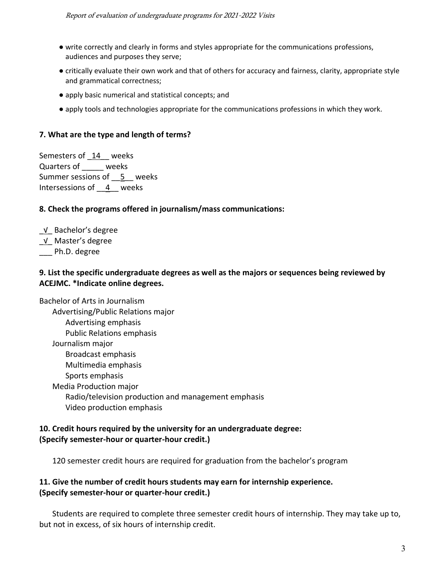- write correctly and clearly in forms and styles appropriate for the communications professions, audiences and purposes they serve;
- critically evaluate their own work and that of others for accuracy and fairness, clarity, appropriate style and grammatical correctness;
- apply basic numerical and statistical concepts; and
- apply tools and technologies appropriate for the communications professions in which they work.

#### **7. What are the type and length of terms?**

Semesters of 14 weeks Quarters of \_\_\_\_\_ weeks Summer sessions of \_\_5\_\_ weeks Intersessions of  $\frac{4}{ }$  weeks

#### **8. Check the programs offered in journalism/mass communications:**

\_√\_ Bachelor's degree

- \_√\_ Master's degree
- Ph.D. degree

### **9. List the specific undergraduate degrees as well as the majors or sequences being reviewed by ACEJMC. \*Indicate online degrees.**

Bachelor of Arts in Journalism Advertising/Public Relations major Advertising emphasis Public Relations emphasis Journalism major Broadcast emphasis Multimedia emphasis Sports emphasis Media Production major Radio/television production and management emphasis Video production emphasis

#### **10. Credit hours required by the university for an undergraduate degree: (Specify semester-hour or quarter-hour credit.)**

120 semester credit hours are required for graduation from the bachelor's program

### **11. Give the number of credit hours students may earn for internship experience. (Specify semester-hour or quarter-hour credit.)**

Students are required to complete three semester credit hours of internship. They may take up to, but not in excess, of six hours of internship credit.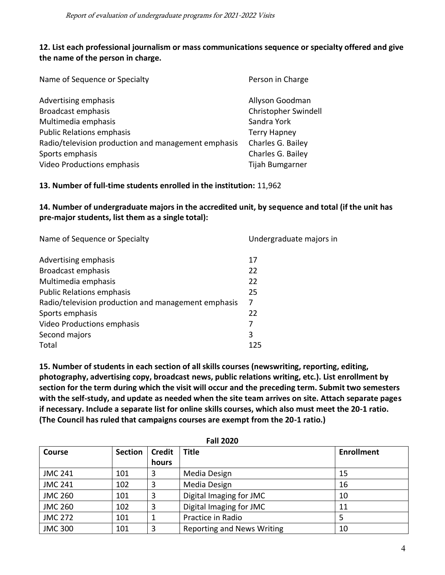### **12. List each professional journalism or mass communications sequence or specialty offered and give the name of the person in charge.**

| Name of Sequence or Specialty                       | Person in Charge       |
|-----------------------------------------------------|------------------------|
| Advertising emphasis                                | Allyson Goodman        |
| Broadcast emphasis                                  | Christopher Swindell   |
| Multimedia emphasis                                 | Sandra York            |
| <b>Public Relations emphasis</b>                    | <b>Terry Hapney</b>    |
| Radio/television production and management emphasis | Charles G. Bailey      |
| Sports emphasis                                     | Charles G. Bailey      |
| <b>Video Productions emphasis</b>                   | <b>Tijah Bumgarner</b> |

**13. Number of full-time students enrolled in the institution:** 11,962

### **14. Number of undergraduate majors in the accredited unit, by sequence and total (if the unit has pre-major students, list them as a single total):**

| Name of Sequence or Specialty                       | Undergraduate majors in |
|-----------------------------------------------------|-------------------------|
| Advertising emphasis                                | 17                      |
| Broadcast emphasis                                  | 22                      |
| Multimedia emphasis                                 | 22                      |
| <b>Public Relations emphasis</b>                    | 25                      |
| Radio/television production and management emphasis | 7                       |
| Sports emphasis                                     | 22                      |
| Video Productions emphasis                          | 7                       |
| Second majors                                       | 3                       |
| Total                                               | 125                     |

**15. Number of students in each section of all skills courses (newswriting, reporting, editing, photography, advertising copy, broadcast news, public relations writing, etc.). List enrollment by section for the term during which the visit will occur and the preceding term. Submit two semesters with the self-study, and update as needed when the site team arrives on site. Attach separate pages if necessary. Include a separate list for online skills courses, which also must meet the 20-1 ratio. (The Council has ruled that campaigns courses are exempt from the 20-1 ratio.)**

| Course         | <b>Section</b> | <b>Credit</b> | <b>Title</b>                      | <b>Enrollment</b> |
|----------------|----------------|---------------|-----------------------------------|-------------------|
|                |                | hours         |                                   |                   |
| <b>JMC 241</b> | 101            | 3             | Media Design                      | 15                |
| <b>JMC 241</b> | 102            | 3             | Media Design                      | 16                |
| <b>JMC 260</b> | 101            | 3             | Digital Imaging for JMC           | 10                |
| <b>JMC 260</b> | 102            | 3             | Digital Imaging for JMC           | 11                |
| <b>JMC 272</b> | 101            | 1             | Practice in Radio                 |                   |
| <b>JMC 300</b> | 101            | 3             | <b>Reporting and News Writing</b> | 10                |

**Fall 2020**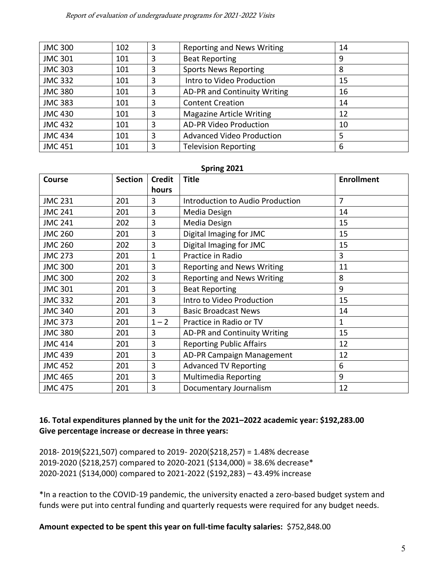#### Report of evaluation of undergraduate programs for 2021-2022 Visits

| <b>JMC 300</b> | 102 | 3 | <b>Reporting and News Writing</b> | 14 |
|----------------|-----|---|-----------------------------------|----|
| <b>JMC 301</b> | 101 | 3 | <b>Beat Reporting</b>             | 9  |
| <b>JMC 303</b> | 101 | 3 | <b>Sports News Reporting</b>      | 8  |
| <b>JMC 332</b> | 101 | 3 | Intro to Video Production         | 15 |
| <b>JMC 380</b> | 101 | 3 | AD-PR and Continuity Writing      | 16 |
| <b>JMC 383</b> | 101 | 3 | <b>Content Creation</b>           | 14 |
| <b>JMC 430</b> | 101 | 3 | <b>Magazine Article Writing</b>   | 12 |
| <b>JMC 432</b> | 101 | 3 | <b>AD-PR Video Production</b>     | 10 |
| <b>JMC 434</b> | 101 | 3 | <b>Advanced Video Production</b>  | 5  |
| <b>JMC 451</b> | 101 | 3 | <b>Television Reporting</b>       | 6  |

#### **Spring 2021**

| <b>Course</b>  | <b>Section</b> | <b>Credit</b> | <b>Title</b>                      | <b>Enrollment</b> |
|----------------|----------------|---------------|-----------------------------------|-------------------|
|                |                | hours         |                                   |                   |
| <b>JMC 231</b> | 201            | 3             | Introduction to Audio Production  | $\overline{7}$    |
| <b>JMC 241</b> | 201            | 3             | Media Design                      | 14                |
| <b>JMC 241</b> | 202            | 3             | Media Design                      | 15                |
| <b>JMC 260</b> | 201            | 3             | Digital Imaging for JMC           | 15                |
| <b>JMC 260</b> | 202            | 3             | Digital Imaging for JMC           | 15                |
| <b>JMC 273</b> | 201            | 1             | Practice in Radio                 | 3                 |
| <b>JMC 300</b> | 201            | 3             | <b>Reporting and News Writing</b> | 11                |
| <b>JMC 300</b> | 202            | 3             | <b>Reporting and News Writing</b> | 8                 |
| <b>JMC 301</b> | 201            | 3             | <b>Beat Reporting</b>             | 9                 |
| <b>JMC 332</b> | 201            | 3             | Intro to Video Production         | 15                |
| <b>JMC 340</b> | 201            | 3             | <b>Basic Broadcast News</b>       | 14                |
| <b>JMC 373</b> | 201            | $1 - 2$       | Practice in Radio or TV           | $\mathbf 1$       |
| <b>JMC 380</b> | 201            | 3             | AD-PR and Continuity Writing      | 15                |
| <b>JMC 414</b> | 201            | 3             | <b>Reporting Public Affairs</b>   | 12                |
| <b>JMC 439</b> | 201            | 3             | AD-PR Campaign Management         | 12                |
| <b>JMC 452</b> | 201            | 3             | <b>Advanced TV Reporting</b>      | 6                 |
| <b>JMC 465</b> | 201            | 3             | <b>Multimedia Reporting</b>       | 9                 |
| <b>JMC 475</b> | 201            | 3             | Documentary Journalism            | 12                |

### **16. Total expenditures planned by the unit for the 2021–2022 academic year: \$192,283.00 Give percentage increase or decrease in three years:**

2018- 2019(\$221,507) compared to 2019- 2020(\$218,257) = 1.48% decrease 2019-2020 (\$218,257) compared to 2020-2021 (\$134,000) = 38.6% decrease\* 2020-2021 (\$134,000) compared to 2021-2022 (\$192,283) – 43.49% increase

\*In a reaction to the COVID-19 pandemic, the university enacted a zero-based budget system and funds were put into central funding and quarterly requests were required for any budget needs.

**Amount expected to be spent this year on full-time faculty salaries:** \$752,848.00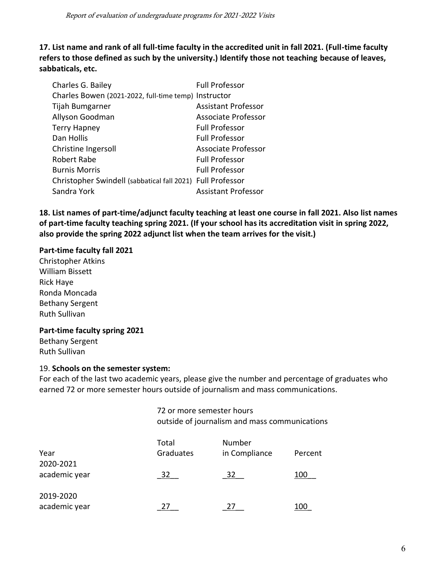**17. List name and rank of all full-time faculty in the accredited unit in fall 2021. (Full-time faculty refers to those defined as such by the university.) Identify those not teaching because of leaves, sabbaticals, etc.**

| Charles G. Bailey                                          | <b>Full Professor</b>      |
|------------------------------------------------------------|----------------------------|
| Charles Bowen (2021-2022, full-time temp) Instructor       |                            |
| Tijah Bumgarner                                            | <b>Assistant Professor</b> |
| Allyson Goodman                                            | <b>Associate Professor</b> |
| <b>Terry Hapney</b>                                        | <b>Full Professor</b>      |
| Dan Hollis                                                 | <b>Full Professor</b>      |
| Christine Ingersoll                                        | Associate Professor        |
| <b>Robert Rabe</b>                                         | <b>Full Professor</b>      |
| <b>Burnis Morris</b>                                       | <b>Full Professor</b>      |
| Christopher Swindell (sabbatical fall 2021) Full Professor |                            |
| Sandra York                                                | <b>Assistant Professor</b> |

**18. List names of part-time/adjunct faculty teaching at least one course in fall 2021. Also list names of part-time faculty teaching spring 2021. (If your school has its accreditation visit in spring 2022, also provide the spring 2022 adjunct list when the team arrives for the visit.)**

#### **Part-time faculty fall 2021**

Christopher Atkins William Bissett Rick Haye Ronda Moncada Bethany Sergent Ruth Sullivan

#### **Part-time faculty spring 2021**

Bethany Sergent Ruth Sullivan

#### 19. **Schools on the semester system:**

For each of the last two academic years, please give the number and percentage of graduates who earned 72 or more semester hours outside of journalism and mass communications.

> 72 or more semester hours outside of journalism and mass communications

| Year                       | Total<br>Graduates | Number<br>in Compliance | Percent   |
|----------------------------|--------------------|-------------------------|-----------|
| 2020-2021<br>academic year | 27                 | 32                      | 100       |
| 2019-2020<br>academic year |                    |                         | 1 ( ) ( ) |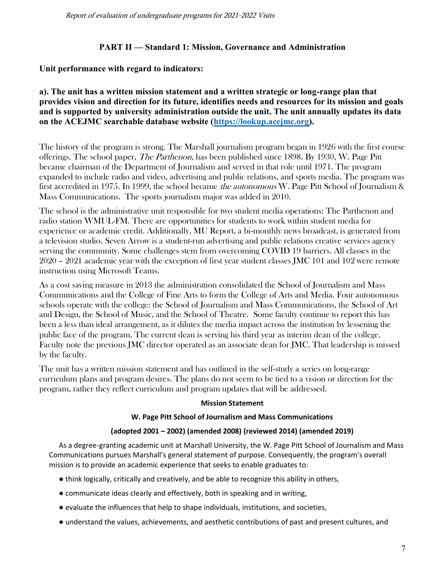### **PART II — Standard 1: Mission, Governance and Administration**

### **Unit performance with regard to indicators:**

#### **a). The unit has a written mission statement and a written strategic or long-range plan that provides vision and direction for its future, identifies needs and resources for its mission and goals and is supported by university administration outside the unit. The unit annually updates its data on the ACEJMC searchable database website [\(https://lookup.acejmc.org\)](https://lookup.acejmc.org/).**

The history of the program is strong. The Marshall journalism program began in 1926 with the first course offerings. The school paper, The Parthenon, has been published since 1898. By 1930, W. Page Pitt became chairman of the Department of Journalism and served in that role until 1971. The program expanded to include radio and video, advertising and public relations, and sports media. The program was first accredited in 1975. In 1999, the school became the autonomous W. Page Pitt School of Journalism & Mass Communications. The sports journalism major was added in 2010.

The school is the administrative unit responsible for two student media operations: The Parthenon and radio station WMUL-FM. There are opportunities for students to work within student media for experience or academic credit. Additionally, MU Report, a bi-monthly news broadcast, is generated from a television studio. Seven Arrow is a student-run advertising and public relations creative services agency serving the community. Some challenges stem from overcoming COVID 19 barriers. All classes in the 2020 – 2021 academic year with the exception of first year student classes JMC 101 and 102 were remote instruction using Microsoft Teams.

As a cost saving measure in 2013 the administration consolidated the School of Journalism and Mass Communications and the College of Fine Arts to form the College of Arts and Media. Four autonomous schools operate with the college: the School of Journalism and Mass Communications, the School of Art and Design, the School of Music, and the School of Theatre. Some faculty continue to report this has been a less than ideal arrangement, as it dilutes the media impact across the institution by lessening the public face of the program. The current dean is serving his third year as interim dean of the college. Faculty note the previous JMC director operated as an associate dean for JMC. That leadership is missed by the faculty.

The unit has a written mission statement and has outlined in the self-study a series on long-range curriculum plans and program desires. The plans do not seem to be tied to a vision or direction for the program, rather they reflect curriculum and program updates that will be addressed.

#### **Mission Statement**

#### **W. Page Pitt School of Journalism and Mass Communications**

#### **(adopted 2001 – 2002) (amended 2008) (reviewed 2014) (amended 2019)**

As a degree-granting academic unit at Marshall University, the W. Page Pitt School of Journalism and Mass Communications pursues Marshall's general statement of purpose. Consequently, the program's overall mission is to provide an academic experience that seeks to enable graduates to:

- think logically, critically and creatively, and be able to recognize this ability in others,
- communicate ideas clearly and effectively, both in speaking and in writing,
- evaluate the influences that help to shape individuals, institutions, and societies,
- understand the values, achievements, and aesthetic contributions of past and present cultures, and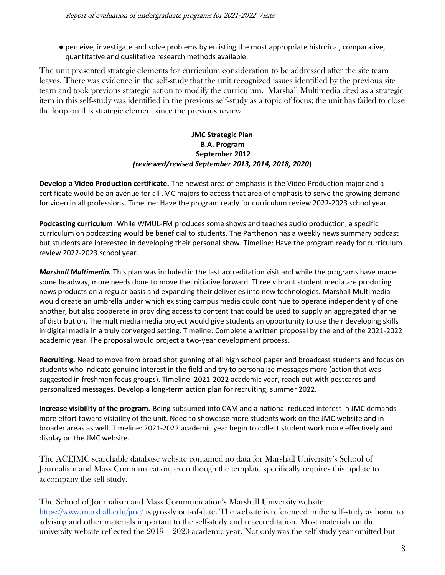● perceive, investigate and solve problems by enlisting the most appropriate historical, comparative, quantitative and qualitative research methods available.

The unit presented strategic elements for curriculum consideration to be addressed after the site team leaves. There was evidence in the self-study that the unit recognized issues identified by the previous site team and took previous strategic action to modify the curriculum. Marshall Multimedia cited as a strategic item in this self-study was identified in the previous self-study as a topic of focus; the unit has failed to close the loop on this strategic element since the previous review.

#### **JMC Strategic Plan B.A. Program September 2012** *(reviewed/revised September 2013, 2014, 2018, 2020***)**

**Develop a Video Production certificate.** The newest area of emphasis is the Video Production major and a certificate would be an avenue for all JMC majors to access that area of emphasis to serve the growing demand for video in all professions. Timeline: Have the program ready for curriculum review 2022-2023 school year.

**Podcasting curriculum**. While WMUL-FM produces some shows and teaches audio production, a specific curriculum on podcasting would be beneficial to students. The Parthenon has a weekly news summary podcast but students are interested in developing their personal show. Timeline: Have the program ready for curriculum review 2022-2023 school year.

*Marshall Multimedia.* This plan was included in the last accreditation visit and while the programs have made some headway, more needs done to move the initiative forward. Three vibrant student media are producing news products on a regular basis and expanding their deliveries into new technologies. Marshall Multimedia would create an umbrella under which existing campus media could continue to operate independently of one another, but also cooperate in providing access to content that could be used to supply an aggregated channel of distribution. The multimedia media project would give students an opportunity to use their developing skills in digital media in a truly converged setting. Timeline: Complete a written proposal by the end of the 2021-2022 academic year. The proposal would project a two-year development process.

**Recruiting.** Need to move from broad shot gunning of all high school paper and broadcast students and focus on students who indicate genuine interest in the field and try to personalize messages more (action that was suggested in freshmen focus groups). Timeline: 2021-2022 academic year, reach out with postcards and personalized messages. Develop a long-term action plan for recruiting, summer 2022.

**Increase visibility of the program.** Being subsumed into CAM and a national reduced interest in JMC demands more effort toward visibility of the unit. Need to showcase more students work on the JMC website and in broader areas as well. Timeline: 2021-2022 academic year begin to collect student work more effectively and display on the JMC website.

The ACEJMC searchable database website contained no data for Marshall University's School of Journalism and Mass Communication, even though the template specifically requires this update to accompany the self-study.

The School of Journalism and Mass Communication's Marshall University website <https://www.marshall.edu/jmc/> is grossly out-of-date. The website is referenced in the self-study as home to advising and other materials important to the self-study and reaccreditation. Most materials on the university website reflected the 2019 – 2020 academic year. Not only was the self-study year omitted but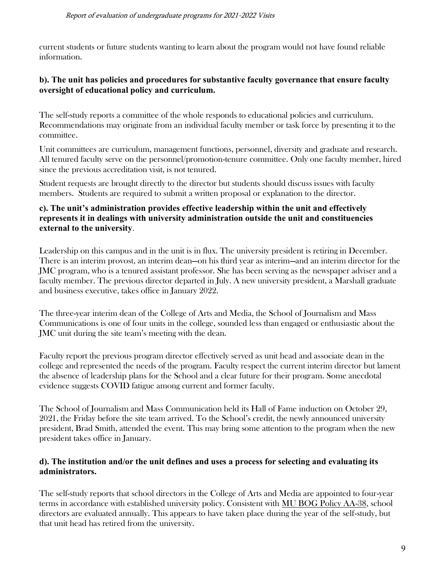current students or future students wanting to learn about the program would not have found reliable information.

#### **b). The unit has policies and procedures for substantive faculty governance that ensure faculty oversight of educational policy and curriculum.**

The self-study reports a committee of the whole responds to educational policies and curriculum. Recommendations may originate from an individual faculty member or task force by presenting it to the committee.

Unit committees are curriculum, management functions, personnel, diversity and graduate and research. All tenured faculty serve on the personnel/promotion-tenure committee. Only one faculty member, hired since the previous accreditation visit, is not tenured.

Student requests are brought directly to the director but students should discuss issues with faculty members. Students are required to submit a written proposal or explanation to the director.

### **c). The unit's administration provides effective leadership within the unit and effectively represents it in dealings with university administration outside the unit and constituencies external to the university**.

Leadership on this campus and in the unit is in flux. The university president is retiring in December. There is an interim provost, an interim dean—on his third year as interim—and an interim director for the JMC program, who is a tenured assistant professor. She has been serving as the newspaper adviser and a faculty member. The previous director departed in July. A new university president, a Marshall graduate and business executive, takes office in January 2022.

The three-year interim dean of the College of Arts and Media, the School of Journalism and Mass Communications is one of four units in the college, sounded less than engaged or enthusiastic about the JMC unit during the site team's meeting with the dean.

Faculty report the previous program director effectively served as unit head and associate dean in the college and represented the needs of the program. Faculty respect the current interim director but lament the absence of leadership plans for the School and a clear future for their program. Some anecdotal evidence suggests COVID fatigue among current and former faculty.

The School of Journalism and Mass Communication held its Hall of Fame induction on October 29, 2021, the Friday before the site team arrived. To the School's credit, the newly announced university president, Brad Smith, attended the event. This may bring some attention to the program when the new president takes office in January.

### **d). The institution and/or the unit defines and uses a process for selecting and evaluating its administrators.**

The self-study reports that school directors in the College of Arts and Media are appointed to four-year terms in accordance with established university policy. Consistent with [MU BOG Policy AA-38,](https://www.marshall.edu/board/files/MUBOG-AA-38-Selection-Role-Evaluation-of-Department-Chairs-2019-12.pdf) school directors are evaluated annually. This appears to have taken place during the year of the self-study, but that unit head has retired from the university.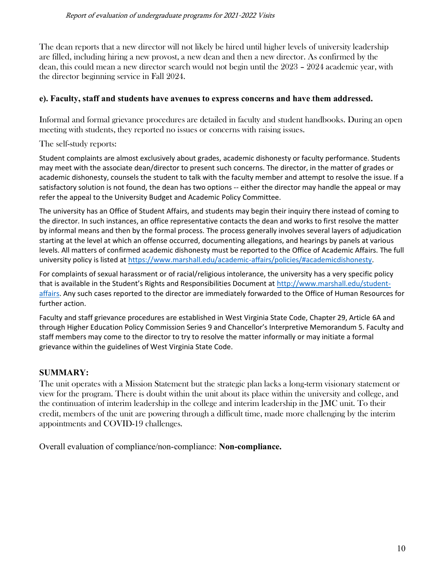The dean reports that a new director will not likely be hired until higher levels of university leadership are filled, including hiring a new provost, a new dean and then a new director. As confirmed by the dean, this could mean a new director search would not begin until the 2023 – 2024 academic year, with the director beginning service in Fall 2024.

#### **e). Faculty, staff and students have avenues to express concerns and have them addressed.**

Informal and formal grievance procedures are detailed in faculty and student handbooks. During an open meeting with students, they reported no issues or concerns with raising issues.

The self-study reports:

Student complaints are almost exclusively about grades, academic dishonesty or faculty performance. Students may meet with the associate dean/director to present such concerns. The director, in the matter of grades or academic dishonesty, counsels the student to talk with the faculty member and attempt to resolve the issue. If a satisfactory solution is not found, the dean has two options -- either the director may handle the appeal or may refer the appeal to the University Budget and Academic Policy Committee.

The university has an Office of Student Affairs, and students may begin their inquiry there instead of coming to the director. In such instances, an office representative contacts the dean and works to first resolve the matter by informal means and then by the formal process. The process generally involves several layers of adjudication starting at the level at which an offense occurred, documenting allegations, and hearings by panels at various levels. All matters of confirmed academic dishonesty must be reported to the Office of Academic Affairs. The full university policy is listed at [https://www.marshall.edu/academic-affairs/policies/#academicdishonesty.](https://www.marshall.edu/academic-affairs/policies/#academicdishonesty)

For complaints of sexual harassment or of racial/religious intolerance, the university has a very specific policy that is available in the Student's Rights and Responsibilities Document at [http://www.marshall.edu/student](http://www.marshall.edu/student-affairs)[affairs.](http://www.marshall.edu/student-affairs) Any such cases reported to the director are immediately forwarded to the Office of Human Resources for further action.

Faculty and staff grievance procedures are established in West Virginia State Code, Chapter 29, Article 6A and through Higher Education Policy Commission Series 9 and Chancellor's Interpretive Memorandum 5. Faculty and staff members may come to the director to try to resolve the matter informally or may initiate a formal grievance within the guidelines of West Virginia State Code.

### **SUMMARY:**

The unit operates with a Mission Statement but the strategic plan lacks a long-term visionary statement or view for the program. There is doubt within the unit about its place within the university and college, and the continuation of interim leadership in the college and interim leadership in the JMC unit. To their credit, members of the unit are powering through a difficult time, made more challenging by the interim appointments and COVID-19 challenges.

Overall evaluation of compliance/non-compliance: **Non-compliance.**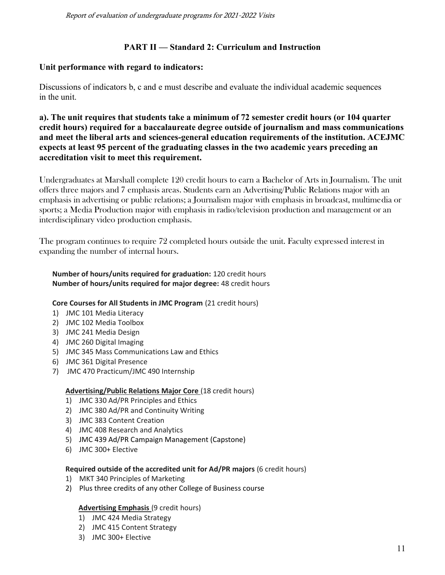Report of evaluation of undergraduate programs for 2021-2022 Visits

#### **PART II — Standard 2: Curriculum and Instruction**

#### **Unit performance with regard to indicators:**

Discussions of indicators b, c and e must describe and evaluate the individual academic sequences in the unit.

**a). The unit requires that students take a minimum of 72 semester credit hours (or 104 quarter credit hours) required for a baccalaureate degree outside of journalism and mass communications and meet the liberal arts and sciences-general education requirements of the institution. ACEJMC expects at least 95 percent of the graduating classes in the two academic years preceding an accreditation visit to meet this requirement.**

Undergraduates at Marshall complete 120 credit hours to earn a Bachelor of Arts in Journalism. The unit offers three majors and 7 emphasis areas. Students earn an Advertising/Public Relations major with an emphasis in advertising or public relations; a Journalism major with emphasis in broadcast, multimedia or sports; a Media Production major with emphasis in radio/television production and management or an interdisciplinary video production emphasis.

The program continues to require 72 completed hours outside the unit. Faculty expressed interest in expanding the number of internal hours.

#### **Number of hours/units required for graduation:** 120 credit hours **Number of hours/units required for major degree:** 48 credit hours

#### **Core Courses for All Students in JMC Program** (21 credit hours)

- 1) JMC 101 Media Literacy
- 2) JMC 102 Media Toolbox
- 3) JMC 241 Media Design
- 4) JMC 260 Digital Imaging
- 5) JMC 345 Mass Communications Law and Ethics
- 6) JMC 361 Digital Presence
- 7) JMC 470 Practicum/JMC 490 Internship

#### **Advertising/Public Relations Major Core** (18 credit hours)

- 1) JMC 330 Ad/PR Principles and Ethics
- 2) JMC 380 Ad/PR and Continuity Writing
- 3) JMC 383 Content Creation
- 4) JMC 408 Research and Analytics
- 5) JMC 439 Ad/PR Campaign Management (Capstone)
- 6) JMC 300+ Elective

#### **Required outside of the accredited unit for Ad/PR majors** (6 credit hours)

- 1) MKT 340 Principles of Marketing
- 2) Plus three credits of any other College of Business course

#### **Advertising Emphasis** (9 credit hours)

- 1) JMC 424 Media Strategy
- 2) JMC 415 Content Strategy
- 3) JMC 300+ Elective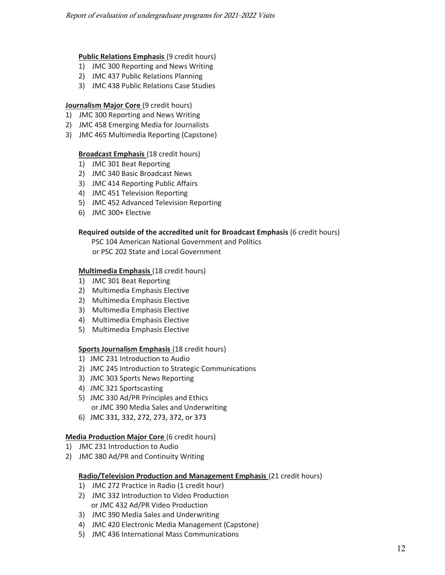#### **Public Relations Emphasis** (9 credit hours)

- 1) JMC 300 Reporting and News Writing
- 2) JMC 437 Public Relations Planning
- 3) JMC 438 Public Relations Case Studies

#### **Journalism Major Core (9 credit hours)**

- 1) JMC 300 Reporting and News Writing
- 2) JMC 458 Emerging Media for Journalists
- 3) JMC 465 Multimedia Reporting (Capstone)

#### **Broadcast Emphasis** (18 credit hours)

- 1) JMC 301 Beat Reporting
- 2) JMC 340 Basic Broadcast News
- 3) JMC 414 Reporting Public Affairs
- 4) JMC 451 Television Reporting
- 5) JMC 452 Advanced Television Reporting
- 6) JMC 300+ Elective

#### **Required outside of the accredited unit for Broadcast Emphasis** (6 credit hours)

PSC 104 American National Government and Politics or PSC 202 State and Local Government

#### **Multimedia Emphasis** (18 credit hours)

- 1) JMC 301 Beat Reporting
- 2) Multimedia Emphasis Elective
- 2) Multimedia Emphasis Elective
- 3) Multimedia Emphasis Elective
- 4) Multimedia Emphasis Elective
- 5) Multimedia Emphasis Elective

#### **Sports Journalism Emphasis** (18 credit hours)

- 1) JMC 231 Introduction to Audio
- 2) JMC 245 Introduction to Strategic Communications
- 3) JMC 303 Sports News Reporting
- 4) JMC 321 Sportscasting
- 5) JMC 330 Ad/PR Principles and Ethics or JMC 390 Media Sales and Underwriting
- 6) JMC 331, 332, 272, 273, 372, or 373

#### **Media Production Major Core** (6 credit hours)

- 1) JMC 231 Introduction to Audio
- 2) JMC 380 Ad/PR and Continuity Writing

#### **Radio/Television Production and Management Emphasis** (21 credit hours)

- 1) JMC 272 Practice in Radio (1 credit hour)
- 2) JMC 332 Introduction to Video Production or JMC 432 Ad/PR Video Production
- 3) JMC 390 Media Sales and Underwriting
- 4) JMC 420 Electronic Media Management (Capstone)
- 5) JMC 436 International Mass Communications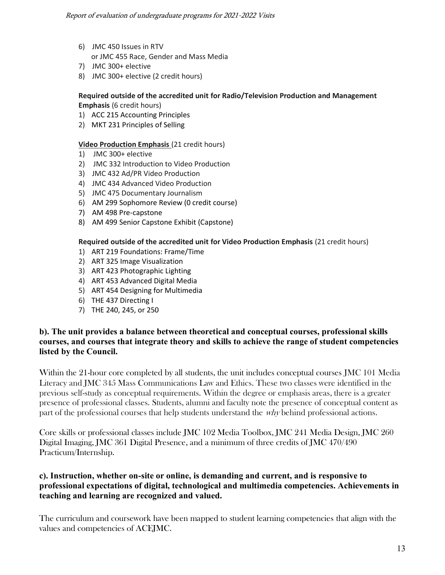- 6) JMC 450 Issues in RTV
- or JMC 455 Race, Gender and Mass Media
- 7) JMC 300+ elective
- 8) JMC 300+ elective (2 credit hours)

#### **Required outside of the accredited unit for Radio/Television Production and Management Emphasis** (6 credit hours)

- 1) ACC 215 Accounting Principles
- 2) MKT 231 Principles of Selling

#### **Video Production Emphasis** (21 credit hours)

- 1) JMC 300+ elective
- 2) JMC 332 Introduction to Video Production
- 3) JMC 432 Ad/PR Video Production
- 4) JMC 434 Advanced Video Production
- 5) JMC 475 Documentary Journalism
- 6) AM 299 Sophomore Review (0 credit course)
- 7) AM 498 Pre-capstone
- 8) AM 499 Senior Capstone Exhibit (Capstone)

#### **Required outside of the accredited unit for Video Production Emphasis** (21 credit hours)

- 1) ART 219 Foundations: Frame/Time
- 2) ART 325 Image Visualization
- 3) ART 423 Photographic Lighting
- 4) ART 453 Advanced Digital Media
- 5) ART 454 Designing for Multimedia
- 6) THE 437 Directing I
- 7) THE 240, 245, or 250

### **b). The unit provides a balance between theoretical and conceptual courses, professional skills courses, and courses that integrate theory and skills to achieve the range of student competencies listed by the Council.**

Within the 21-hour core completed by all students, the unit includes conceptual courses JMC 101 Media Literacy and JMC 345 Mass Communications Law and Ethics. These two classes were identified in the previous self-study as conceptual requirements. Within the degree or emphasis areas, there is a greater presence of professional classes. Students, alumni and faculty note the presence of conceptual content as part of the professional courses that help students understand the *why* behind professional actions.

Core skills or professional classes include JMC 102 Media Toolbox, JMC 241 Media Design, JMC 260 Digital Imaging, JMC 361 Digital Presence, and a minimum of three credits of JMC 470/490 Practicum/Internship.

### **c). Instruction, whether on-site or online, is demanding and current, and is responsive to professional expectations of digital, technological and multimedia competencies. Achievements in teaching and learning are recognized and valued.**

The curriculum and coursework have been mapped to student learning competencies that align with the values and competencies of ACEJMC.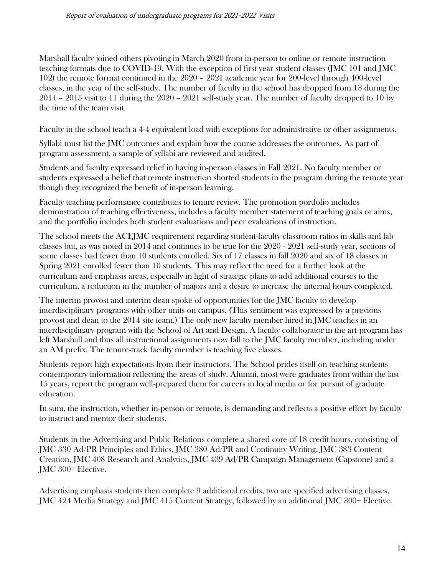Marshall faculty joined others pivoting in March 2020 from in-person to online or remote instruction teaching formats due to COVID-19. With the exception of first year student classes (JMC 101 and JMC 102) the remote format continued in the 2020 – 2021 academic year for 200-level through 400-level classes, in the year of the self-study. The number of faculty in the school has dropped from 13 during the 2014 – 2015 visit to 11 during the 2020 – 2021 self-study year. The number of faculty dropped to 10 by the time of the team visit.

Faculty in the school teach a 4-4 equivalent load with exceptions for administrative or other assignments.

Syllabi must list the JMC outcomes and explain how the course addresses the outcomes. As part of program assessment, a sample of syllabi are reviewed and audited.

Students and faculty expressed relief in having in-person classes in Fall 2021. No faculty member or students expressed a belief that remote instruction shorted students in the program during the remote year though they recognized the benefit of in-person learning.

Faculty teaching performance contributes to tenure review. The promotion portfolio includes demonstration of teaching effectiveness, includes a faculty member statement of teaching goals or aims, and the portfolio includes both student evaluations and peer evaluations of instruction.

The school meets the ACEJMC requirement regarding student-faculty classroom ratios in skills and lab classes but, as was noted in 2014 and continues to be true for the 2020 - 2021 self-study year, sections of some classes had fewer than 10 students enrolled. Six of 17 classes in fall 2020 and six of 18 classes in Spring 2021 enrolled fewer than 10 students. This may reflect the need for a further look at the curriculum and emphasis areas, especially in light of strategic plans to add additional courses to the curriculum, a reduction in the number of majors and a desire to increase the internal hours completed.

The interim provost and interim dean spoke of opportunities for the JMC faculty to develop interdisciplinary programs with other units on campus. (This sentiment was expressed by a previous provost and dean to the 2014 site team.) The only new faculty member hired in JMC teaches in an interdisciplinary program with the School of Art and Design. A faculty collaborator in the art program has left Marshall and thus all instructional assignments now fall to the JMC faculty member, including under an AM prefix. The tenure-track faculty member is teaching five classes.

Students report high expectations from their instructors. The School prides itself on teaching students contemporary information reflecting the areas of study. Alumni, most were graduates from within the last 15 years, report the program well-prepared them for careers in local media or for pursuit of graduate education.

In sum, the instruction, whether in-person or remote, is demanding and reflects a positive effort by faculty to instruct and mentor their students.

Students in the Advertising and Public Relations complete a shared core of 18 credit hours, consisting of JMC 330 Ad/PR Principles and Ethics, JMC 380 Ad/PR and Continuity Writing, JMC 383 Content Creation, JMC 408 Research and Analytics, JMC 439 Ad/PR Campaign Management (Capstone) and a JMC 300+ Elective.

Advertising emphasis students then complete 9 additional credits, two are specified advertising classes, JMC 424 Media Strategy and JMC 415 Content Strategy, followed by an additional JMC 300+ Elective.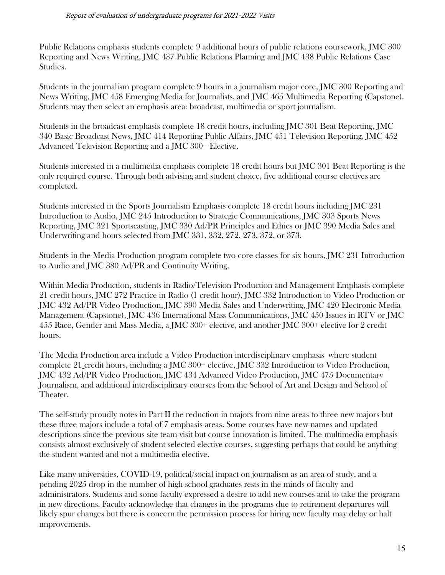Public Relations emphasis students complete 9 additional hours of public relations coursework, JMC 300 Reporting and News Writing, JMC 437 Public Relations Planning and JMC 438 Public Relations Case Studies.

Students in the journalism program complete 9 hours in a journalism major core, JMC 300 Reporting and News Writing, JMC 458 Emerging Media for Journalists, and JMC 465 Multimedia Reporting (Capstone). Students may then select an emphasis area: broadcast, multimedia or sport journalism.

Students in the broadcast emphasis complete 18 credit hours, including JMC 301 Beat Reporting, JMC 340 Basic Broadcast News, JMC 414 Reporting Public Affairs, JMC 451 Television Reporting, JMC 452 Advanced Television Reporting and a JMC 300+ Elective.

Students interested in a multimedia emphasis complete 18 credit hours but JMC 301 Beat Reporting is the only required course. Through both advising and student choice, five additional course electives are completed.

Students interested in the Sports Journalism Emphasis complete 18 credit hours including JMC 231 Introduction to Audio, JMC 245 Introduction to Strategic Communications, JMC 303 Sports News Reporting, JMC 321 Sportscasting, JMC 330 Ad/PR Principles and Ethics or JMC 390 Media Sales and Underwriting and hours selected from JMC 331, 332, 272, 273, 372, or 373.

Students in the Media Production program complete two core classes for six hours, JMC 231 Introduction to Audio and JMC 380 Ad/PR and Continuity Writing.

Within Media Production, students in Radio/Television Production and Management Emphasis complete 21 credit hours, JMC 272 Practice in Radio (1 credit hour), JMC 332 Introduction to Video Production or JMC 432 Ad/PR Video Production, JMC 390 Media Sales and Underwriting, JMC 420 Electronic Media Management (Capstone), JMC 436 International Mass Communications, JMC 450 Issues in RTV or JMC 455 Race, Gender and Mass Media, a JMC 300+ elective, and another JMC 300+ elective for 2 credit hours.

The Media Production area include a Video Production interdisciplinary emphasis where student complete 21 credit hours, including a JMC 300+ elective, JMC 332 Introduction to Video Production, JMC 432 Ad/PR Video Production, JMC 434 Advanced Video Production, JMC 475 Documentary Journalism, and additional interdisciplinary courses from the School of Art and Design and School of Theater.

The self-study proudly notes in Part II the reduction in majors from nine areas to three new majors but these three majors include a total of 7 emphasis areas. Some courses have new names and updated descriptions since the previous site team visit but course innovation is limited. The multimedia emphasis consists almost exclusively of student selected elective courses, suggesting perhaps that could be anything the student wanted and not a multimedia elective.

Like many universities, COVID-19, political/social impact on journalism as an area of study, and a pending 2025 drop in the number of high school graduates rests in the minds of faculty and administrators. Students and some faculty expressed a desire to add new courses and to take the program in new directions. Faculty acknowledge that changes in the programs due to retirement departures will likely spur changes but there is concern the permission process for hiring new faculty may delay or halt improvements.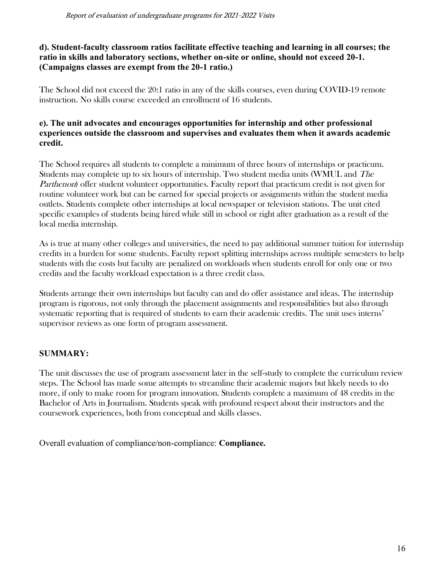### **d). Student-faculty classroom ratios facilitate effective teaching and learning in all courses; the ratio in skills and laboratory sections, whether on-site or online, should not exceed 20-1. (Campaigns classes are exempt from the 20-1 ratio.)**

The School did not exceed the 20:1 ratio in any of the skills courses, even during COVID-19 remote instruction. No skills course exceeded an enrollment of 16 students.

### **e). The unit advocates and encourages opportunities for internship and other professional experiences outside the classroom and supervises and evaluates them when it awards academic credit.**

The School requires all students to complete a minimum of three hours of internships or practicum. Students may complete up to six hours of internship. Two student media units (WMUL and The Parthenon) offer student volunteer opportunities. Faculty report that practicum credit is not given for routine volunteer work but can be earned for special projects or assignments within the student media outlets. Students complete other internships at local newspaper or television stations. The unit cited specific examples of students being hired while still in school or right after graduation as a result of the local media internship.

As is true at many other colleges and universities, the need to pay additional summer tuition for internship credits in a burden for some students. Faculty report splitting internships across multiple semesters to help students with the costs but faculty are penalized on workloads when students enroll for only one or two credits and the faculty workload expectation is a three credit class.

Students arrange their own internships but faculty can and do offer assistance and ideas. The internship program is rigorous, not only through the placement assignments and responsibilities but also through systematic reporting that is required of students to earn their academic credits. The unit uses interns' supervisor reviews as one form of program assessment.

## **SUMMARY:**

The unit discusses the use of program assessment later in the self-study to complete the curriculum review steps. The School has made some attempts to streamline their academic majors but likely needs to do more, if only to make room for program innovation. Students complete a maximum of 48 credits in the Bachelor of Arts in Journalism. Students speak with profound respect about their instructors and the coursework experiences, both from conceptual and skills classes.

Overall evaluation of compliance/non-compliance: **Compliance.**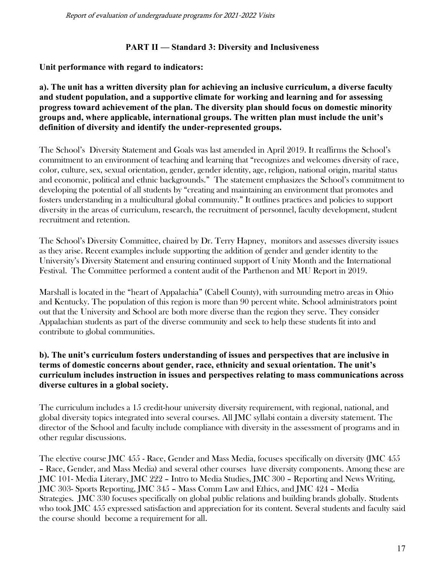Report of evaluation of undergraduate programs for 2021-2022 Visits

### **PART II — Standard 3: Diversity and Inclusiveness**

**Unit performance with regard to indicators:**

**a). The unit has a written diversity plan for achieving an inclusive curriculum, a diverse faculty and student population, and a supportive climate for working and learning and for assessing progress toward achievement of the plan. The diversity plan should focus on domestic minority groups and, where applicable, international groups. The written plan must include the unit's definition of diversity and identify the under-represented groups.**

The School's Diversity Statement and Goals was last amended in April 2019. It reaffirms the School's commitment to an environment of teaching and learning that "recognizes and welcomes diversity of race, color, culture, sex, sexual orientation, gender, gender identity, age, religion, national origin, marital status and economic, political and ethnic backgrounds." The statement emphasizes the School's commitment to developing the potential of all students by "creating and maintaining an environment that promotes and fosters understanding in a multicultural global community." It outlines practices and policies to support diversity in the areas of curriculum, research, the recruitment of personnel, faculty development, student recruitment and retention.

The School's Diversity Committee, chaired by Dr. Terry Hapney, monitors and assesses diversity issues as they arise. Recent examples include supporting the addition of gender and gender identity to the University's Diversity Statement and ensuring continued support of Unity Month and the International Festival. The Committee performed a content audit of the Parthenon and MU Report in 2019.

Marshall is located in the "heart of Appalachia" (Cabell County), with surrounding metro areas in Ohio and Kentucky. The population of this region is more than 90 percent white. School administrators point out that the University and School are both more diverse than the region they serve. They consider Appalachian students as part of the diverse community and seek to help these students fit into and contribute to global communities.

#### **b). The unit's curriculum fosters understanding of issues and perspectives that are inclusive in terms of domestic concerns about gender, race, ethnicity and sexual orientation. The unit's curriculum includes instruction in issues and perspectives relating to mass communications across diverse cultures in a global society.**

The curriculum includes a 15 credit-hour university diversity requirement, with regional, national, and global diversity topics integrated into several courses. All JMC syllabi contain a diversity statement. The director of the School and faculty include compliance with diversity in the assessment of programs and in other regular discussions.

The elective course JMC 455 - Race, Gender and Mass Media, focuses specifically on diversity (JMC 455 – Race, Gender, and Mass Media) and several other courses have diversity components. Among these are JMC 101- Media Literary, JMC 222 – Intro to Media Studies, JMC 300 – Reporting and News Writing, JMC 303- Sports Reporting, JMC 345 – Mass Comm Law and Ethics, and JMC 424 – Media Strategies. JMC 330 focuses specifically on global public relations and building brands globally. Students who took JMC 455 expressed satisfaction and appreciation for its content. Several students and faculty said the course should become a requirement for all.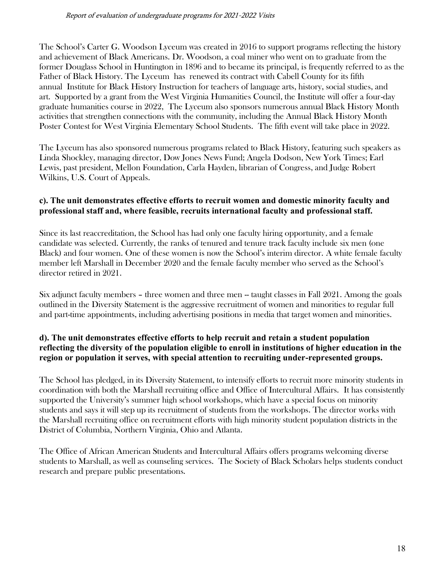The School's Carter G. Woodson Lyceum was created in 2016 to support programs reflecting the history and achievement of Black Americans. Dr. Woodson, a coal miner who went on to graduate from the former Douglass School in Huntington in 1896 and to became its principal, is frequently referred to as the Father of Black History. The Lyceum has renewed its contract with Cabell County for its fifth annual Institute for Black History Instruction for teachers of language arts, history, social studies, and art. Supported by a grant from the West Virginia Humanities Council, the Institute will offer a four-day graduate humanities course in 2022, The Lyceum also sponsors numerous annual Black History Month activities that strengthen connections with the community, including the Annual Black History Month Poster Contest for West Virginia Elementary School Students. The fifth event will take place in 2022.

The Lyceum has also sponsored numerous programs related to Black History, featuring such speakers as Linda Shockley, managing director, Dow Jones News Fund; Angela Dodson, New York Times; Earl Lewis, past president, Mellon Foundation, Carla Hayden, librarian of Congress, and Judge Robert Wilkins, U.S. Court of Appeals.

### **c). The unit demonstrates effective efforts to recruit women and domestic minority faculty and professional staff and, where feasible, recruits international faculty and professional staff.**

Since its last reaccreditation, the School has had only one faculty hiring opportunity, and a female candidate was selected. Currently, the ranks of tenured and tenure track faculty include six men (one Black) and four women. One of these women is now the School's interim director. A white female faculty member left Marshall in December 2020 and the female faculty member who served as the School's director retired in 2021.

Six adjunct faculty members – three women and three men -- taught classes in Fall 2021. Among the goals outlined in the Diversity Statement is the aggressive recruitment of women and minorities to regular full and part-time appointments, including advertising positions in media that target women and minorities.

### **d). The unit demonstrates effective efforts to help recruit and retain a student population reflecting the diversity of the population eligible to enroll in institutions of higher education in the region or population it serves, with special attention to recruiting under-represented groups.**

The School has pledged, in its Diversity Statement, to intensify efforts to recruit more minority students in coordination with both the Marshall recruiting office and Office of Intercultural Affairs. It has consistently supported the University's summer high school workshops, which have a special focus on minority students and says it will step up its recruitment of students from the workshops. The director works with the Marshall recruiting office on recruitment efforts with high minority student population districts in the District of Columbia, Northern Virginia, Ohio and Atlanta.

The Office of African American Students and Intercultural Affairs offers programs welcoming diverse students to Marshall, as well as counseling services. The Society of Black Scholars helps students conduct research and prepare public presentations.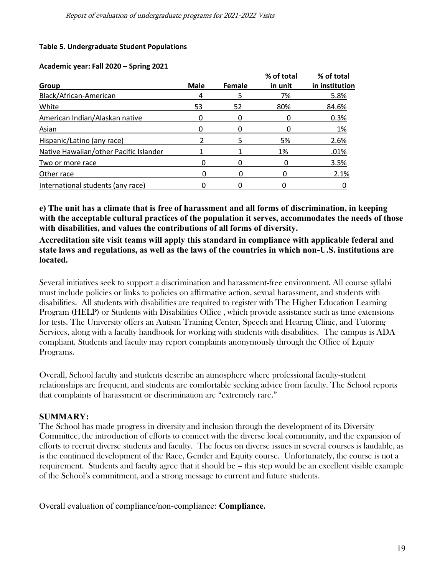#### **Table 5. Undergraduate Student Populations**

#### **Academic year: Fall 2020 – Spring 2021**

|                                        |      |        | % of total | % of total     |
|----------------------------------------|------|--------|------------|----------------|
| <b>Group</b>                           | Male | Female | in unit    | in institution |
| Black/African-American                 | 4    | 5      | 7%         | 5.8%           |
| White                                  | 53   | 52     | 80%        | 84.6%          |
| American Indian/Alaskan native         |      |        |            | 0.3%           |
| Asian                                  |      |        |            | 1%             |
| Hispanic/Latino (any race)             |      |        | 5%         | 2.6%           |
| Native Hawaiian/other Pacific Islander |      |        | 1%         | .01%           |
| Two or more race                       |      |        |            | 3.5%           |
| Other race                             |      |        |            | 2.1%           |
| International students (any race)      |      |        |            |                |

**e) The unit has a climate that is free of harassment and all forms of discrimination, in keeping with the acceptable cultural practices of the population it serves, accommodates the needs of those with disabilities, and values the contributions of all forms of diversity.**

**Accreditation site visit teams will apply this standard in compliance with applicable federal and state laws and regulations, as well as the laws of the countries in which non-U.S. institutions are located.**

Several initiatives seek to support a discrimination and harassment-free environment. All course syllabi must include policies or links to policies on affirmative action, sexual harassment, and students with disabilities. All students with disabilities are required to register with The Higher Education Learning Program (HELP) or Students with Disabilities Office , which provide assistance such as time extensions for tests. The University offers an Autism Training Center, Speech and Hearing Clinic, and Tutoring Services, along with a faculty handbook for working with students with disabilities. The campus is ADA compliant. Students and faculty may report complaints anonymously through the Office of Equity Programs.

Overall, School faculty and students describe an atmosphere where professional faculty-student relationships are frequent, and students are comfortable seeking advice from faculty. The School reports that complaints of harassment or discrimination are "extremely rare."

#### **SUMMARY:**

The School has made progress in diversity and inclusion through the development of its Diversity Committee, the introduction of efforts to connect with the diverse local community, and the expansion of efforts to recruit diverse students and faculty. The focus on diverse issues in several courses is laudable, as is the continued development of the Race, Gender and Equity course. Unfortunately, the course is not a requirement. Students and faculty agree that it should be -- this step would be an excellent visible example of the School's commitment, and a strong message to current and future students.

Overall evaluation of compliance/non-compliance: **Compliance.**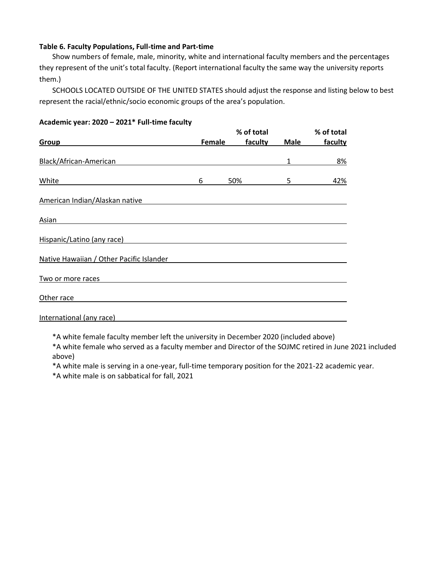#### **Table 6. Faculty Populations, Full-time and Part-time**

Show numbers of female, male, minority, white and international faculty members and the percentages they represent of the unit's total faculty. (Report international faculty the same way the university reports them.)

SCHOOLS LOCATED OUTSIDE OF THE UNITED STATES should adjust the response and listing below to best represent the racial/ethnic/socio economic groups of the area's population.

|                                          |               | % of total            |             |         |
|------------------------------------------|---------------|-----------------------|-------------|---------|
| Group                                    | <b>Female</b> | % of total<br>faculty | <b>Male</b> | faculty |
| Black/African-American                   |               |                       | 1           | 8%      |
| White                                    | 6             | 50%                   | 5           | 42%     |
| American Indian/Alaskan native           |               |                       |             |         |
| Asian                                    |               |                       |             |         |
| Hispanic/Latino (any race)               |               |                       |             |         |
| Native Hawaiian / Other Pacific Islander |               |                       |             |         |
| Two or more races                        |               |                       |             |         |
| Other race                               |               |                       |             |         |
| International (any race)                 |               |                       |             |         |

#### **Academic year: 2020 – 2021\* Full-time faculty**

\*A white female faculty member left the university in December 2020 (included above)

\*A white female who served as a faculty member and Director of the SOJMC retired in June 2021 included above)

\*A white male is serving in a one-year, full-time temporary position for the 2021-22 academic year.

\*A white male is on sabbatical for fall, 2021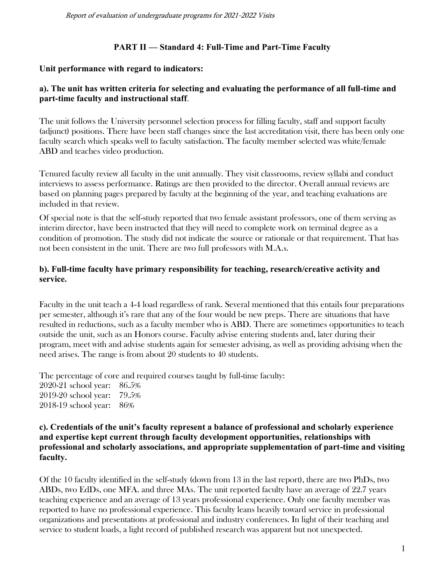### **PART II — Standard 4: Full-Time and Part-Time Faculty**

#### **Unit performance with regard to indicators:**

### **a). The unit has written criteria for selecting and evaluating the performance of all full-time and part-time faculty and instructional staff**.

The unit follows the University personnel selection process for filling faculty, staff and support faculty (adjunct) positions. There have been staff changes since the last accreditation visit, there has been only one faculty search which speaks well to faculty satisfaction. The faculty member selected was white/female ABD and teaches video production.

Tenured faculty review all faculty in the unit annually. They visit classrooms, review syllabi and conduct interviews to assess performance. Ratings are then provided to the director. Overall annual reviews are based on planning pages prepared by faculty at the beginning of the year, and teaching evaluations are included in that review.

Of special note is that the self-study reported that two female assistant professors, one of them serving as interim director, have been instructed that they will need to complete work on terminal degree as a condition of promotion. The study did not indicate the source or rationale or that requirement. That has not been consistent in the unit. There are two full professors with M.A.s.

### **b). Full-time faculty have primary responsibility for teaching, research/creative activity and service.**

Faculty in the unit teach a 4-4 load regardless of rank. Several mentioned that this entails four preparations per semester, although it's rare that any of the four would be new preps. There are situations that have resulted in reductions, such as a faculty member who is ABD. There are sometimes opportunities to teach outside the unit, such as an Honors course. Faculty advise entering students and, later during their program, meet with and advise students again for semester advising, as well as providing advising when the need arises. The range is from about 20 students to 40 students.

The percentage of core and required courses taught by full-time faculty: 2020-21 school year: 86.5% 2019-20 school year: 79.5% 2018-19 school year: 86%

#### **c). Credentials of the unit's faculty represent a balance of professional and scholarly experience and expertise kept current through faculty development opportunities, relationships with professional and scholarly associations, and appropriate supplementation of part-time and visiting faculty.**

Of the 10 faculty identified in the self-study (down from 13 in the last report), there are two PhDs, two ABDs, two EdDs, one MFA. and three MAs. The unit reported faculty have an average of 22.7 years teaching experience and an average of 13 years professional experience. Only one faculty member was reported to have no professional experience. This faculty leans heavily toward service in professional organizations and presentations at professional and industry conferences. In light of their teaching and service to student loads, a light record of published research was apparent but not unexpected.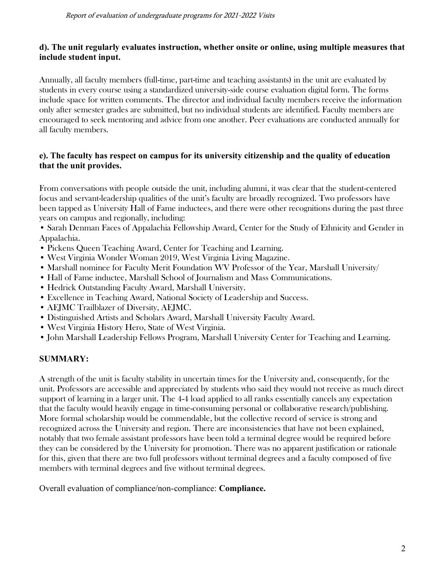#### **d). The unit regularly evaluates instruction, whether onsite or online, using multiple measures that include student input.**

Annually, all faculty members (full-time, part-time and teaching assistants) in the unit are evaluated by students in every course using a standardized university-side course evaluation digital form. The forms include space for written comments. The director and individual faculty members receive the information only after semester grades are submitted, but no individual students are identified. Faculty members are encouraged to seek mentoring and advice from one another. Peer evaluations are conducted annually for all faculty members.

### **e). The faculty has respect on campus for its university citizenship and the quality of education that the unit provides.**

From conversations with people outside the unit, including alumni, it was clear that the student-centered focus and servant-leadership qualities of the unit's faculty are broadly recognized. Two professors have been tapped as University Hall of Fame inductees, and there were other recognitions during the past three years on campus and regionally, including:

- Sarah Denman Faces of Appalachia Fellowship Award, Center for the Study of Ethnicity and Gender in Appalachia.
- Pickens Queen Teaching Award, Center for Teaching and Learning.
- West Virginia Wonder Woman 2019, West Virginia Living Magazine.
- Marshall nominee for Faculty Merit Foundation WV Professor of the Year, Marshall University/
- Hall of Fame inductee, Marshall School of Journalism and Mass Communications.
- Hedrick Outstanding Faculty Award, Marshall University.
- Excellence in Teaching Award, National Society of Leadership and Success.
- AEJMC Trailblazer of Diversity, AEJMC.
- Distinguished Artists and Scholars Award, Marshall University Faculty Award.
- West Virginia History Hero, State of West Virginia.
- John Marshall Leadership Fellows Program, Marshall University Center for Teaching and Learning.

## **SUMMARY:**

A strength of the unit is faculty stability in uncertain times for the University and, consequently, for the unit. Professors are accessible and appreciated by students who said they would not receive as much direct support of learning in a larger unit. The 4-4 load applied to all ranks essentially cancels any expectation that the faculty would heavily engage in time-consuming personal or collaborative research/publishing. More formal scholarship would be commendable, but the collective record of service is strong and recognized across the University and region. There are inconsistencies that have not been explained, notably that two female assistant professors have been told a terminal degree would be required before they can be considered by the University for promotion. There was no apparent justification or rationale for this, given that there are two full professors without terminal degrees and a faculty composed of five members with terminal degrees and five without terminal degrees.

Overall evaluation of compliance/non-compliance: **Compliance.**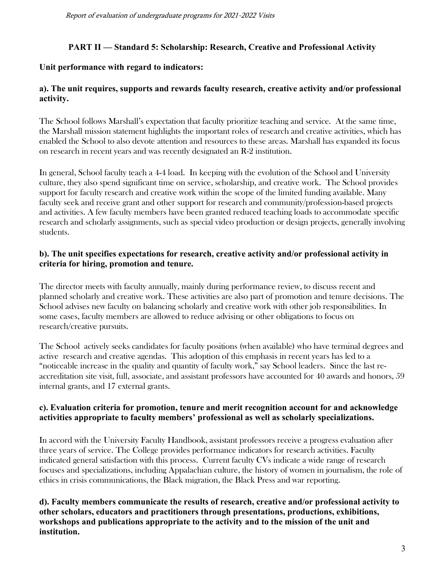### **PART II — Standard 5: Scholarship: Research, Creative and Professional Activity**

### **Unit performance with regard to indicators:**

### **a). The unit requires, supports and rewards faculty research, creative activity and/or professional activity.**

The School follows Marshall's expectation that faculty prioritize teaching and service. At the same time, the Marshall mission statement highlights the important roles of research and creative activities, which has enabled the School to also devote attention and resources to these areas. Marshall has expanded its focus on research in recent years and was recently designated an R-2 institution.

In general, School faculty teach a 4-4 load. In keeping with the evolution of the School and University culture, they also spend significant time on service, scholarship, and creative work. The School provides support for faculty research and creative work within the scope of the limited funding available. Many faculty seek and receive grant and other support for research and community/profession-based projects and activities. A few faculty members have been granted reduced teaching loads to accommodate specific research and scholarly assignments, such as special video production or design projects, generally involving students.

### **b). The unit specifies expectations for research, creative activity and/or professional activity in criteria for hiring, promotion and tenure.**

The director meets with faculty annually, mainly during performance review, to discuss recent and planned scholarly and creative work. These activities are also part of promotion and tenure decisions. The School advises new faculty on balancing scholarly and creative work with other job responsibilities. In some cases, faculty members are allowed to reduce advising or other obligations to focus on research/creative pursuits.

The School actively seeks candidates for faculty positions (when available) who have terminal degrees and active research and creative agendas. This adoption of this emphasis in recent years has led to a "noticeable increase in the quality and quantity of faculty work," say School leaders. Since the last reaccreditation site visit, full, associate, and assistant professors have accounted for 40 awards and honors, 59 internal grants, and 17 external grants.

### **c). Evaluation criteria for promotion, tenure and merit recognition account for and acknowledge activities appropriate to faculty members' professional as well as scholarly specializations.**

In accord with the University Faculty Handbook, assistant professors receive a progress evaluation after three years of service. The College provides performance indicators for research activities. Faculty indicated general satisfaction with this process. Current faculty CVs indicate a wide range of research focuses and specializations, including Appalachian culture, the history of women in journalism, the role of ethics in crisis communications, the Black migration, the Black Press and war reporting.

**d). Faculty members communicate the results of research, creative and/or professional activity to other scholars, educators and practitioners through presentations, productions, exhibitions, workshops and publications appropriate to the activity and to the mission of the unit and institution.**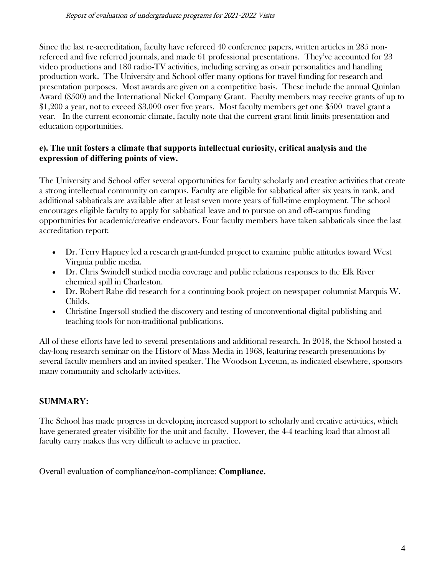Since the last re-accreditation, faculty have refereed 40 conference papers, written articles in 285 nonrefereed and five referred journals, and made 61 professional presentations. They've accounted for 23 video productions and 180 radio-TV activities, including serving as on-air personalities and handling production work. The University and School offer many options for travel funding for research and presentation purposes. Most awards are given on a competitive basis. These include the annual Quinlan Award (\$500) and the International Nickel Company Grant. Faculty members may receive grants of up to \$1,200 a year, not to exceed \$3,000 over five years. Most faculty members get one \$500 travel grant a year. In the current economic climate, faculty note that the current grant limit limits presentation and education opportunities.

### **e). The unit fosters a climate that supports intellectual curiosity, critical analysis and the expression of differing points of view.**

The University and School offer several opportunities for faculty scholarly and creative activities that create a strong intellectual community on campus. Faculty are eligible for sabbatical after six years in rank, and additional sabbaticals are available after at least seven more years of full-time employment. The school encourages eligible faculty to apply for sabbatical leave and to pursue on and off-campus funding opportunities for academic/creative endeavors. Four faculty members have taken sabbaticals since the last accreditation report:

- Dr. Terry Hapney led a research grant-funded project to examine public attitudes toward West Virginia public media.
- Dr. Chris Swindell studied media coverage and public relations responses to the Elk River chemical spill in Charleston.
- Dr. Robert Rabe did research for a continuing book project on newspaper columnist Marquis W. Childs.
- Christine Ingersoll studied the discovery and testing of unconventional digital publishing and teaching tools for non-traditional publications.

All of these efforts have led to several presentations and additional research. In 2018, the School hosted a day-long research seminar on the History of Mass Media in 1968, featuring research presentations by several faculty members and an invited speaker. The Woodson Lyceum, as indicated elsewhere, sponsors many community and scholarly activities.

## **SUMMARY:**

The School has made progress in developing increased support to scholarly and creative activities, which have generated greater visibility for the unit and faculty. However, the 4-4 teaching load that almost all faculty carry makes this very difficult to achieve in practice.

Overall evaluation of compliance/non-compliance: **Compliance.**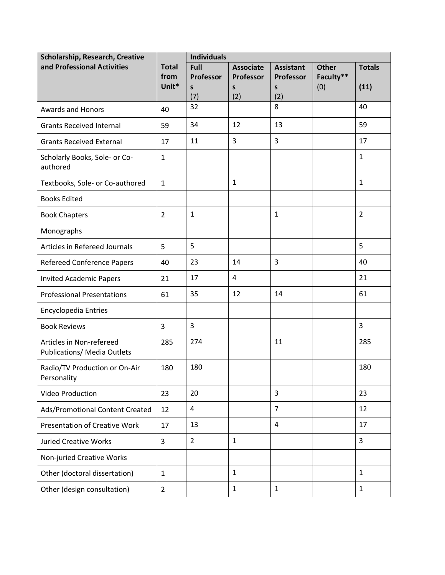| Scholarship, Research, Creative                         |                | <b>Individuals</b> |                           |                       |                  |                |
|---------------------------------------------------------|----------------|--------------------|---------------------------|-----------------------|------------------|----------------|
| and Professional Activities                             | <b>Total</b>   | Full               | <b>Associate</b>          | <b>Assistant</b>      | <b>Other</b>     | <b>Totals</b>  |
|                                                         | from<br>Unit*  | Professor<br>S     | Professor<br>$\mathsf{s}$ | <b>Professor</b><br>S | Faculty**<br>(0) | (11)           |
|                                                         |                | (7)                | (2)                       | (2)                   |                  |                |
| <b>Awards and Honors</b>                                | 40             | 32                 |                           | 8                     |                  | 40             |
| <b>Grants Received Internal</b>                         | 59             | 34                 | 12                        | 13                    |                  | 59             |
| <b>Grants Received External</b>                         | 17             | 11                 | 3                         | 3                     |                  | 17             |
| Scholarly Books, Sole- or Co-<br>authored               | $\mathbf{1}$   |                    |                           |                       |                  | $\mathbf{1}$   |
| Textbooks, Sole- or Co-authored                         | $\mathbf{1}$   |                    | $\mathbf{1}$              |                       |                  | $\mathbf{1}$   |
| <b>Books Edited</b>                                     |                |                    |                           |                       |                  |                |
| <b>Book Chapters</b>                                    | $\overline{2}$ | $\mathbf{1}$       |                           | $\mathbf{1}$          |                  | $\overline{2}$ |
| Monographs                                              |                |                    |                           |                       |                  |                |
| Articles in Refereed Journals                           | 5              | 5                  |                           |                       |                  | 5              |
| <b>Refereed Conference Papers</b>                       | 40             | 23                 | 14                        | 3                     |                  | 40             |
| <b>Invited Academic Papers</b>                          | 21             | 17                 | 4                         |                       |                  | 21             |
| <b>Professional Presentations</b>                       | 61             | 35                 | 12                        | 14                    |                  | 61             |
| Encyclopedia Entries                                    |                |                    |                           |                       |                  |                |
| <b>Book Reviews</b>                                     | 3              | 3                  |                           |                       |                  | 3              |
| Articles in Non-refereed<br>Publications/ Media Outlets | 285            | 274                |                           | 11                    |                  | 285            |
| Radio/TV Production or On-Air<br>Personality            | 180            | 180                |                           |                       |                  | 180            |
| <b>Video Production</b>                                 | 23             | 20                 |                           | 3                     |                  | 23             |
| Ads/Promotional Content Created                         | 12             | $\pmb{4}$          |                           | $\overline{7}$        |                  | 12             |
| <b>Presentation of Creative Work</b>                    | 17             | 13                 |                           | 4                     |                  | 17             |
| <b>Juried Creative Works</b>                            | 3              | $\overline{2}$     | $\mathbf{1}$              |                       |                  | 3              |
| Non-juried Creative Works                               |                |                    |                           |                       |                  |                |
| Other (doctoral dissertation)                           | $\mathbf{1}$   |                    | $\mathbf{1}$              |                       |                  | $\mathbf{1}$   |
| Other (design consultation)                             | $\overline{2}$ |                    | $\mathbf{1}$              | $\mathbf{1}$          |                  | $\mathbf{1}$   |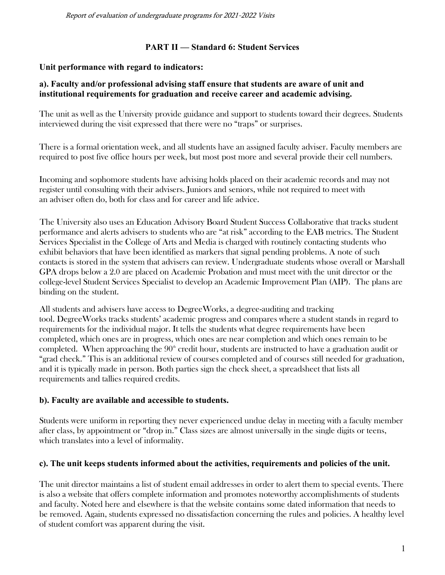### **PART II — Standard 6: Student Services**

### **Unit performance with regard to indicators:**

### **a). Faculty and/or professional advising staff ensure that students are aware of unit and institutional requirements for graduation and receive career and academic advising.**

The unit as well as the University provide guidance and support to students toward their degrees. Students interviewed during the visit expressed that there were no "traps" or surprises.

There is a formal orientation week, and all students have an assigned faculty adviser. Faculty members are required to post five office hours per week, but most post more and several provide their cell numbers.

Incoming and sophomore students have advising holds placed on their academic records and may not register until consulting with their advisers. Juniors and seniors, while not required to meet with an adviser often do, both for class and for career and life advice.

The University also uses an Education Advisory Board Student Success Collaborative that tracks student performance and alerts advisers to students who are "at risk" according to the EAB metrics. The Student Services Specialist in the College of Arts and Media is charged with routinely contacting students who exhibit behaviors that have been identified as markers that signal pending problems. A note of such contacts is stored in the system that advisers can review. Undergraduate students whose overall or Marshall GPA drops below a 2.0 are placed on Academic Probation and must meet with the unit director or the college-level Student Services Specialist to develop an Academic Improvement Plan (AIP). The plans are binding on the student.

All students and advisers have access to DegreeWorks, a degree-auditing and tracking tool. DegreeWorks tracks students' academic progress and compares where a student stands in regard to requirements for the individual major. It tells the students what degree requirements have been completed, which ones are in progress, which ones are near completion and which ones remain to be completed. When approaching the  $90<sup>th</sup>$  credit hour, students are instructed to have a graduation audit or "grad check." This is an additional review of courses completed and of courses still needed for graduation, and it is typically made in person. Both parties sign the check sheet, a spreadsheet that lists all requirements and tallies required credits.

### **b). Faculty are available and accessible to students.**

Students were uniform in reporting they never experienced undue delay in meeting with a faculty member after class, by appointment or "drop in." Class sizes are almost universally in the single digits or teens, which translates into a level of informality.

### **c). The unit keeps students informed about the activities, requirements and policies of the unit.**

The unit director maintains a list of student email addresses in order to alert them to special events. There is also a website that offers complete information and promotes noteworthy accomplishments of students and faculty. Noted here and elsewhere is that the website contains some dated information that needs to be removed. Again, students expressed no dissatisfaction concerning the rules and policies. A healthy level of student comfort was apparent during the visit.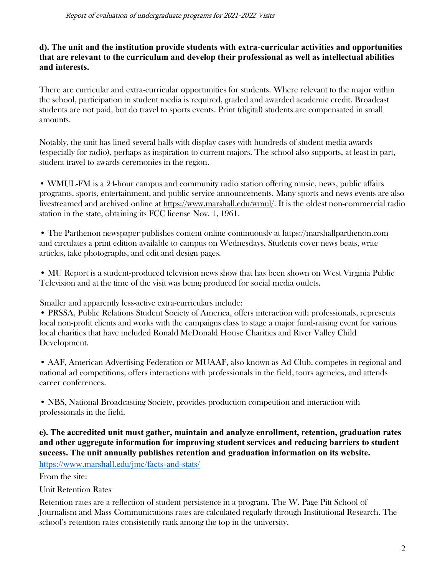### **d). The unit and the institution provide students with extra-curricular activities and opportunities that are relevant to the curriculum and develop their professional as well as intellectual abilities and interests.**

There are curricular and extra-curricular opportunities for students. Where relevant to the major within the school, participation in student media is required, graded and awarded academic credit. Broadcast students are not paid, but do travel to sports events. Print (digital) students are compensated in small amounts.

Notably, the unit has lined several halls with display cases with hundreds of student media awards (especially for radio), perhaps as inspiration to current majors. The school also supports, at least in part, student travel to awards ceremonies in the region.

• WMUL-FM is a 24-hour campus and community radio station offering music, news, public affairs programs, sports, entertainment, and public service announcements. Many sports and news events are also livestreamed and archived online at [https://www.marshall.edu/wmul/.](https://www.marshall.edu/wmul/) It is the oldest non-commercial radio station in the state, obtaining its FCC license Nov. 1, 1961.

• The Parthenon newspaper publishes content online continuously at [https://marshallparthenon.com](https://marshallparthenon.com/) and circulates a print edition available to campus on Wednesdays. Students cover news beats, write articles, take photographs, and edit and design pages.

• MU Report is a student-produced television news show that has been shown on West Virginia Public Television and at the time of the visit was being produced for social media outlets.

Smaller and apparently less-active extra-curriculars include:

• PRSSA, Public Relations Student Society of America, offers interaction with professionals, represents local non-profit clients and works with the campaigns class to stage a major fund-raising event for various local charities that have included Ronald McDonald House Charities and River Valley Child Development.

• AAF, American Advertising Federation or MUAAF, also known as Ad Club, competes in regional and national ad competitions, offers interactions with professionals in the field, tours agencies, and attends career conferences.

• NBS, National Broadcasting Society, provides production competition and interaction with professionals in the field.

#### **e). The accredited unit must gather, maintain and analyze enrollment, retention, graduation rates and other aggregate information for improving student services and reducing barriers to student success. The unit annually publishes retention and graduation information on its website.** <https://www.marshall.edu/jmc/facts-and-stats/>

From the site:

Unit Retention Rates

Retention rates are a reflection of student persistence in a program. The W. Page Pitt School of Journalism and Mass Communications rates are calculated regularly through Institutional Research. The school's retention rates consistently rank among the top in the university.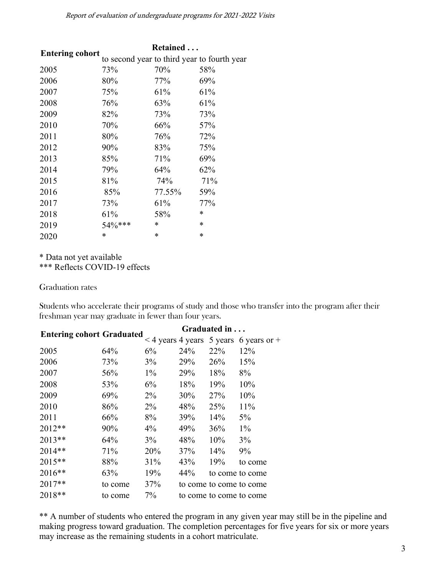#### Report of evaluation of undergraduate programs for 2021-2022 Visits

|                        | Retained                                    |        |        |  |  |  |
|------------------------|---------------------------------------------|--------|--------|--|--|--|
| <b>Entering cohort</b> | to second year to third year to fourth year |        |        |  |  |  |
| 2005                   | 73%                                         | 70%    | 58%    |  |  |  |
| 2006                   | 80%                                         | 77%    | 69%    |  |  |  |
| 2007                   | 75%                                         | 61%    | 61%    |  |  |  |
| 2008                   | 76%                                         | 63%    | 61%    |  |  |  |
| 2009                   | 82%                                         | 73%    | 73%    |  |  |  |
| 2010                   | 70%                                         | 66%    | 57%    |  |  |  |
| 2011                   | 80%                                         | 76%    | 72%    |  |  |  |
| 2012                   | 90%                                         | 83%    | 75%    |  |  |  |
| 2013                   | 85%                                         | 71%    | 69%    |  |  |  |
| 2014                   | 79%                                         | 64%    | 62%    |  |  |  |
| 2015                   | 81%                                         | 74%    | 71%    |  |  |  |
| 2016                   | 85%                                         | 77.55% | 59%    |  |  |  |
| 2017                   | 73%                                         | 61%    | 77%    |  |  |  |
| 2018                   | 61%                                         | 58%    | $\ast$ |  |  |  |
| 2019                   | 54%***                                      | $\ast$ | *      |  |  |  |
| 2020                   | *                                           | *      | *      |  |  |  |

\* Data not yet available

\*\*\* Reflects COVID-19 effects

Graduation rates

Students who accelerate their programs of study and those who transfer into the program after their freshman year may graduate in fewer than four years.

|         | Graduated in |                                  |            |                                                                                                   |  |
|---------|--------------|----------------------------------|------------|---------------------------------------------------------------------------------------------------|--|
|         |              |                                  |            |                                                                                                   |  |
| 64%     | 6%           | 24%                              | 22%        | 12%                                                                                               |  |
| 73%     | 3%           | 29%                              | 26%        | 15%                                                                                               |  |
| 56%     | $1\%$        | 29%                              | 18%        | 8%                                                                                                |  |
| 53%     | 6%           | 18%                              | 19%        | 10%                                                                                               |  |
| 69%     | $2\%$        | 30%                              | <b>27%</b> | 10%                                                                                               |  |
| 86%     | $2\%$        | 48%                              | <b>25%</b> | 11%                                                                                               |  |
| 66%     | 8%           | 39%                              | 14%        | $5\%$                                                                                             |  |
| 90%     | $4\%$        | 49%                              | 36%        | $1\%$                                                                                             |  |
| 64%     | 3%           | 48%                              | 10%        | 3%                                                                                                |  |
| 71%     | 20%          | 37%                              | 14%        | 9%                                                                                                |  |
| 88%     | 31%          | 43%                              | 19%        | to come                                                                                           |  |
| 63%     | 19%          | 44%                              |            | to come to come                                                                                   |  |
| to come | 37%          |                                  |            |                                                                                                   |  |
| to come | 7%           |                                  |            |                                                                                                   |  |
|         |              | <b>Entering cohort Graduated</b> |            | $\leq$ 4 years 4 years 5 years 6 years or +<br>to come to come to come<br>to come to come to come |  |

\*\* A number of students who entered the program in any given year may still be in the pipeline and making progress toward graduation. The completion percentages for five years for six or more years may increase as the remaining students in a cohort matriculate.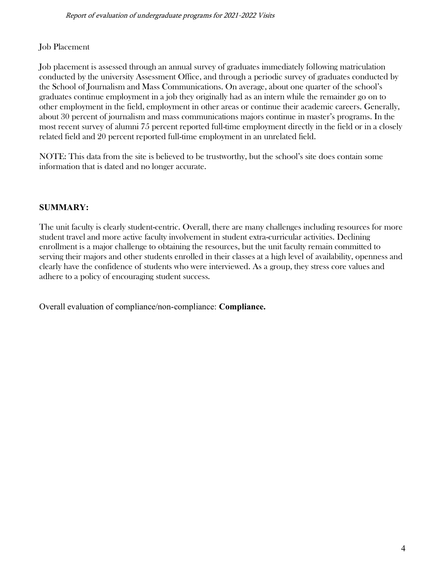#### Job Placement

Job placement is assessed through an annual survey of graduates immediately following matriculation conducted by the university Assessment Office, and through a periodic survey of graduates conducted by the School of Journalism and Mass Communications. On average, about one quarter of the school's graduates continue employment in a job they originally had as an intern while the remainder go on to other employment in the field, employment in other areas or continue their academic careers. Generally, about 30 percent of journalism and mass communications majors continue in master's programs. In the most recent survey of alumni 75 percent reported full-time employment directly in the field or in a closely related field and 20 percent reported full-time employment in an unrelated field.

NOTE: This data from the site is believed to be trustworthy, but the school's site does contain some information that is dated and no longer accurate.

#### **SUMMARY:**

The unit faculty is clearly student-centric. Overall, there are many challenges including resources for more student travel and more active faculty involvement in student extra-curricular activities. Declining enrollment is a major challenge to obtaining the resources, but the unit faculty remain committed to serving their majors and other students enrolled in their classes at a high level of availability, openness and clearly have the confidence of students who were interviewed. As a group, they stress core values and adhere to a policy of encouraging student success.

Overall evaluation of compliance/non-compliance: **Compliance.**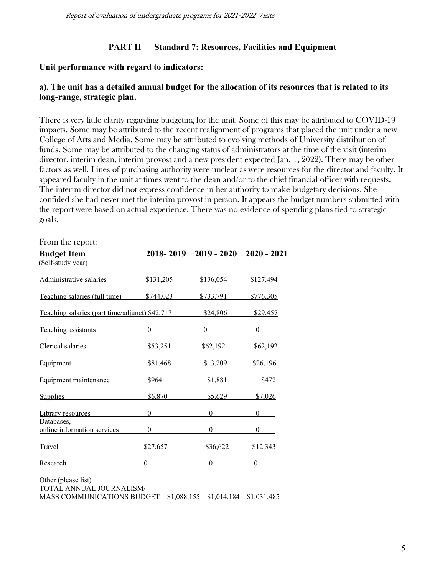#### **PART II — Standard 7: Resources, Facilities and Equipment**

#### **Unit performance with regard to indicators:**

#### **a). The unit has a detailed annual budget for the allocation of its resources that is related to its long-range, strategic plan.**

There is very little clarity regarding budgeting for the unit. Some of this may be attributed to COVID-19 impacts. Some may be attributed to the recent realignment of programs that placed the unit under a new College of Arts and Media. Some may be attributed to evolving methods of University distribution of funds. Some may be attributed to the changing status of administrators at the time of the visit (interim director, interim dean, interim provost and a new president expected Jan. 1, 2022). There may be other factors as well. Lines of purchasing authority were unclear as were resources for the director and faculty. It appeared faculty in the unit at times went to the dean and/or to the chief financial officer with requests. The interim director did not express confidence in her authority to make budgetary decisions. She confided she had never met the interim provost in person. It appears the budget numbers submitted with the report were based on actual experience. There was no evidence of spending plans tied to strategic goals.

| \$131,205                                      | \$136,054      | \$127,494                       |
|------------------------------------------------|----------------|---------------------------------|
| \$744,023                                      | \$733,791      | \$776,305                       |
| Teaching salaries (part time/adjunct) \$42,717 | \$24,806       | \$29,457                        |
| Teaching assistants<br>$\overline{0}$          | $\overline{0}$ | $\begin{matrix} 0 \end{matrix}$ |
| \$53,251                                       | \$62,192       | \$62,192                        |
| \$81,468                                       | \$13,209       | \$26,196                        |
| \$964                                          | \$1,881        | \$472                           |
| \$6,870                                        | \$5,629        | \$7,026                         |
| $\theta$                                       | $\theta$       | 0                               |
| $\theta$                                       | $\theta$       | 0                               |
| \$27,657                                       | \$36,622       | \$12,343                        |
| $\boldsymbol{0}$                               | $\theta$       | $\theta$                        |
|                                                |                | 2018-2019 2019-2020 2020-2021   |

Other (please list) TOTAL ANNUAL JOURNALISM/ MASS COMMUNICATIONS BUDGET \$1,088,155 \$1,014,184 \$1,031,485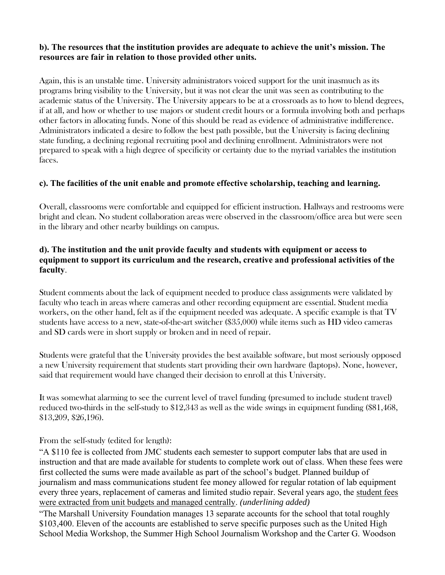#### **b). The resources that the institution provides are adequate to achieve the unit's mission. The resources are fair in relation to those provided other units.**

Again, this is an unstable time. University administrators voiced support for the unit inasmuch as its programs bring visibility to the University, but it was not clear the unit was seen as contributing to the academic status of the University. The University appears to be at a crossroads as to how to blend degrees, if at all, and how or whether to use majors or student credit hours or a formula involving both and perhaps other factors in allocating funds. None of this should be read as evidence of administrative indifference. Administrators indicated a desire to follow the best path possible, but the University is facing declining state funding, a declining regional recruiting pool and declining enrollment. Administrators were not prepared to speak with a high degree of specificity or certainty due to the myriad variables the institution faces.

### **c). The facilities of the unit enable and promote effective scholarship, teaching and learning.**

Overall, classrooms were comfortable and equipped for efficient instruction. Hallways and restrooms were bright and clean. No student collaboration areas were observed in the classroom/office area but were seen in the library and other nearby buildings on campus.

### **d). The institution and the unit provide faculty and students with equipment or access to equipment to support its curriculum and the research, creative and professional activities of the faculty**.

Student comments about the lack of equipment needed to produce class assignments were validated by faculty who teach in areas where cameras and other recording equipment are essential. Student media workers, on the other hand, felt as if the equipment needed was adequate. A specific example is that TV students have access to a new, state-of-the-art switcher (\$35,000) while items such as HD video cameras and SD cards were in short supply or broken and in need of repair.

Students were grateful that the University provides the best available software, but most seriously opposed a new University requirement that students start providing their own hardware (laptops). None, however, said that requirement would have changed their decision to enroll at this University.

It was somewhat alarming to see the current level of travel funding (presumed to include student travel) reduced two-thirds in the self-study to \$12,343 as well as the wide swings in equipment funding (\$81,468, \$13,209, \$26,196).

From the self-study (edited for length):

"A \$110 fee is collected from JMC students each semester to support computer labs that are used in instruction and that are made available for students to complete work out of class. When these fees were first collected the sums were made available as part of the school's budget. Planned buildup of journalism and mass communications student fee money allowed for regular rotation of lab equipment every three years, replacement of cameras and limited studio repair. Several years ago, the student fees were extracted from unit budgets and managed centrally. *(underlining added)*

"The Marshall University Foundation manages 13 separate accounts for the school that total roughly \$103,400. Eleven of the accounts are established to serve specific purposes such as the United High School Media Workshop, the Summer High School Journalism Workshop and the Carter G. Woodson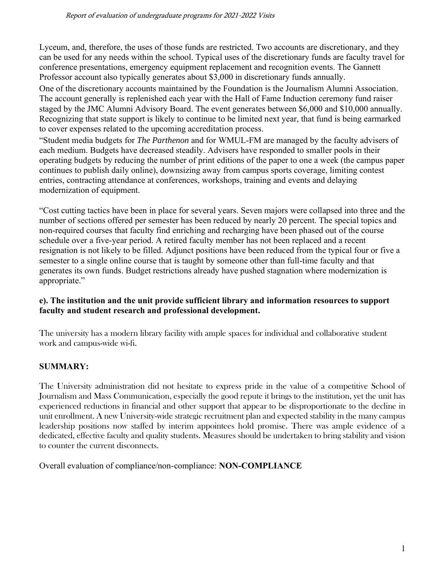Lyceum, and, therefore, the uses of those funds are restricted. Two accounts are discretionary, and they can be used for any needs within the school. Typical uses of the discretionary funds are faculty travel for conference presentations, emergency equipment replacement and recognition events. The Gannett Professor account also typically generates about \$3,000 in discretionary funds annually.

One of the discretionary accounts maintained by the Foundation is the Journalism Alumni Association. The account generally is replenished each year with the Hall of Fame Induction ceremony fund raiser staged by the JMC Alumni Advisory Board. The event generates between \$6,000 and \$10,000 annually. Recognizing that state support is likely to continue to be limited next year, that fund is being earmarked to cover expenses related to the upcoming accreditation process.

"Student media budgets for *The Parthenon* and for WMUL-FM are managed by the faculty advisers of each medium. Budgets have decreased steadily. Advisers have responded to smaller pools in their operating budgets by reducing the number of print editions of the paper to one a week (the campus paper continues to publish daily online), downsizing away from campus sports coverage, limiting contest entries, contracting attendance at conferences, workshops, training and events and delaying modernization of equipment.

"Cost cutting tactics have been in place for several years. Seven majors were collapsed into three and the number of sections offered per semester has been reduced by nearly 20 percent. The special topics and non-required courses that faculty find enriching and recharging have been phased out of the course schedule over a five-year period. A retired faculty member has not been replaced and a recent resignation is not likely to be filled. Adjunct positions have been reduced from the typical four or five a semester to a single online course that is taught by someone other than full-time faculty and that generates its own funds. Budget restrictions already have pushed stagnation where modernization is appropriate."

### **e). The institution and the unit provide sufficient library and information resources to support faculty and student research and professional development.**

The university has a modern library facility with ample spaces for individual and collaborative student work and campus-wide wi-fi.

## **SUMMARY:**

The University administration did not hesitate to express pride in the value of a competitive School of Journalism and Mass Communication, especially the good repute it brings to the institution, yet the unit has experienced reductions in financial and other support that appear to be disproportionate to the decline in unit enrollment. A new University-wide strategic recruitment plan and expected stability in the many campus leadership positions now staffed by interim appointees hold promise. There was ample evidence of a dedicated, effective faculty and quality students. Measures should be undertaken to bring stability and vision to counter the current disconnects.

Overall evaluation of compliance/non-compliance: **NON-COMPLIANCE**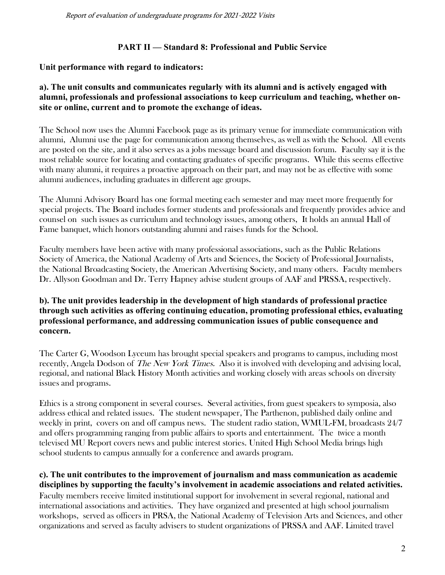Report of evaluation of undergraduate programs for 2021-2022 Visits

### **PART II — Standard 8: Professional and Public Service**

### **Unit performance with regard to indicators:**

### **a). The unit consults and communicates regularly with its alumni and is actively engaged with alumni, professionals and professional associations to keep curriculum and teaching, whether onsite or online, current and to promote the exchange of ideas.**

The School now uses the Alumni Facebook page as its primary venue for immediate communication with alumni, Alumni use the page for communication among themselves, as well as with the School. All events are posted on the site, and it also serves as a jobs message board and discussion forum. Faculty say it is the most reliable source for locating and contacting graduates of specific programs. While this seems effective with many alumni, it requires a proactive approach on their part, and may not be as effective with some alumni audiences, including graduates in different age groups.

The Alumni Advisory Board has one formal meeting each semester and may meet more frequently for special projects. The Board includes former students and professionals and frequently provides advice and counsel on such issues as curriculum and technology issues, among others, It holds an annual Hall of Fame banquet, which honors outstanding alumni and raises funds for the School.

Faculty members have been active with many professional associations, such as the Public Relations Society of America, the National Academy of Arts and Sciences, the Society of Professional Journalists, the National Broadcasting Society, the American Advertising Society, and many others. Faculty members Dr. Allyson Goodman and Dr. Terry Hapney advise student groups of AAF and PRSSA, respectively.

### **b). The unit provides leadership in the development of high standards of professional practice through such activities as offering continuing education, promoting professional ethics, evaluating professional performance, and addressing communication issues of public consequence and concern.**

The Carter G, Woodson Lyceum has brought special speakers and programs to campus, including most recently, Angela Dodson of The New York Times. Also it is involved with developing and advising local, regional, and national Black History Month activities and working closely with areas schools on diversity issues and programs.

Ethics is a strong component in several courses. Several activities, from guest speakers to symposia, also address ethical and related issues. The student newspaper, The Parthenon, published daily online and weekly in print, covers on and off campus news. The student radio station, WMUL-FM, broadcasts 24/7 and offers programming ranging from public affairs to sports and entertainment. The twice a month televised MU Report covers news and public interest stories. United High School Media brings high school students to campus annually for a conference and awards program.

### **c). The unit contributes to the improvement of journalism and mass communication as academic disciplines by supporting the faculty's involvement in academic associations and related activities.**

Faculty members receive limited institutional support for involvement in several regional, national and international associations and activities. They have organized and presented at high school journalism workshops, served as officers in PRSA, the National Academy of Television Arts and Sciences, and other organizations and served as faculty advisers to student organizations of PRSSA and AAF. Limited travel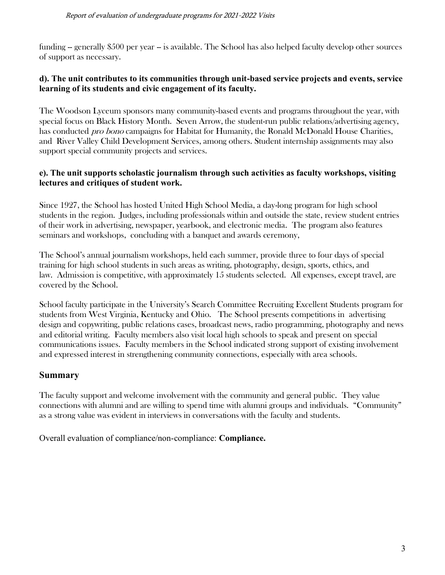funding -- generally \$500 per year -- is available. The School has also helped faculty develop other sources of support as necessary.

### **d). The unit contributes to its communities through unit-based service projects and events, service learning of its students and civic engagement of its faculty.**

The Woodson Lyceum sponsors many community-based events and programs throughout the year, with special focus on Black History Month. Seven Arrow, the student-run public relations/advertising agency, has conducted *pro bono* campaigns for Habitat for Humanity, the Ronald McDonald House Charities, and River Valley Child Development Services, among others. Student internship assignments may also support special community projects and services.

### **e). The unit supports scholastic journalism through such activities as faculty workshops, visiting lectures and critiques of student work.**

Since 1927, the School has hosted United High School Media, a day-long program for high school students in the region. Judges, including professionals within and outside the state, review student entries of their work in advertising, newspaper, yearbook, and electronic media. The program also features seminars and workshops, concluding with a banquet and awards ceremony,

The School's annual journalism workshops, held each summer, provide three to four days of special training for high school students in such areas as writing, photography, design, sports, ethics, and law. Admission is competitive, with approximately 15 students selected. All expenses, except travel, are covered by the School.

School faculty participate in the University's Search Committee Recruiting Excellent Students program for students from West Virginia, Kentucky and Ohio. The School presents competitions in advertising design and copywriting, public relations cases, broadcast news, radio programming, photography and news and editorial writing. Faculty members also visit local high schools to speak and present on special communications issues. Faculty members in the School indicated strong support of existing involvement and expressed interest in strengthening community connections, especially with area schools.

## **Summary**

The faculty support and welcome involvement with the community and general public. They value connections with alumni and are willing to spend time with alumni groups and individuals. "Community" as a strong value was evident in interviews in conversations with the faculty and students.

Overall evaluation of compliance/non-compliance: **Compliance.**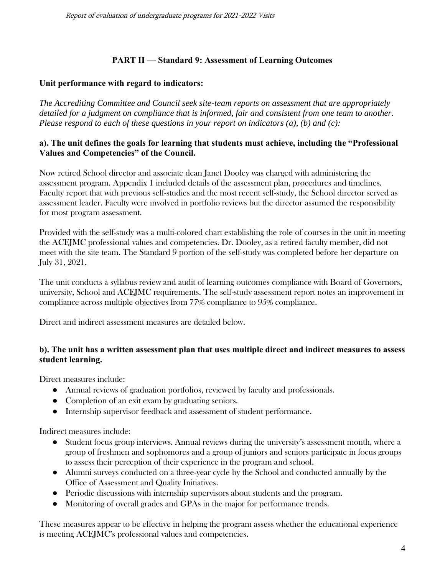## **PART II — Standard 9: Assessment of Learning Outcomes**

### **Unit performance with regard to indicators:**

*The Accrediting Committee and Council seek site-team reports on assessment that are appropriately detailed for a judgment on compliance that is informed, fair and consistent from one team to another. Please respond to each of these questions in your report on indicators (a), (b) and (c):*

### **a). The unit defines the goals for learning that students must achieve, including the "Professional Values and Competencies" of the Council.**

Now retired School director and associate dean Janet Dooley was charged with administering the assessment program. Appendix 1 included details of the assessment plan, procedures and timelines. Faculty report that with previous self-studies and the most recent self-study, the School director served as assessment leader. Faculty were involved in portfolio reviews but the director assumed the responsibility for most program assessment.

Provided with the self-study was a multi-colored chart establishing the role of courses in the unit in meeting the ACEJMC professional values and competencies. Dr. Dooley, as a retired faculty member, did not meet with the site team. The Standard 9 portion of the self-study was completed before her departure on July 31, 2021.

The unit conducts a syllabus review and audit of learning outcomes compliance with Board of Governors, university, School and ACEJMC requirements. The self-study assessment report notes an improvement in compliance across multiple objectives from 77% compliance to 95% compliance.

Direct and indirect assessment measures are detailed below.

### **b). The unit has a written assessment plan that uses multiple direct and indirect measures to assess student learning.**

Direct measures include:

- Annual reviews of graduation portfolios, reviewed by faculty and professionals.
- Completion of an exit exam by graduating seniors.
- Internship supervisor feedback and assessment of student performance.

Indirect measures include:

- Student focus group interviews. Annual reviews during the university's assessment month, where a group of freshmen and sophomores and a group of juniors and seniors participate in focus groups to assess their perception of their experience in the program and school.
- Alumni surveys conducted on a three-year cycle by the School and conducted annually by the Office of Assessment and Quality Initiatives.
- Periodic discussions with internship supervisors about students and the program.
- Monitoring of overall grades and GPAs in the major for performance trends.

These measures appear to be effective in helping the program assess whether the educational experience is meeting ACEJMC's professional values and competencies.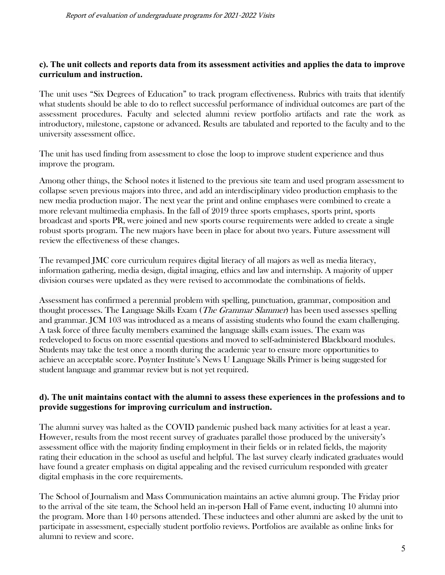#### **c). The unit collects and reports data from its assessment activities and applies the data to improve curriculum and instruction.**

The unit uses "Six Degrees of Education" to track program effectiveness. Rubrics with traits that identify what students should be able to do to reflect successful performance of individual outcomes are part of the assessment procedures. Faculty and selected alumni review portfolio artifacts and rate the work as introductory, milestone, capstone or advanced. Results are tabulated and reported to the faculty and to the university assessment office.

The unit has used finding from assessment to close the loop to improve student experience and thus improve the program.

Among other things, the School notes it listened to the previous site team and used program assessment to collapse seven previous majors into three, and add an interdisciplinary video production emphasis to the new media production major. The next year the print and online emphases were combined to create a more relevant multimedia emphasis. In the fall of 2019 three sports emphases, sports print, sports broadcast and sports PR, were joined and new sports course requirements were added to create a single robust sports program. The new majors have been in place for about two years. Future assessment will review the effectiveness of these changes.

The revamped JMC core curriculum requires digital literacy of all majors as well as media literacy, information gathering, media design, digital imaging, ethics and law and internship. A majority of upper division courses were updated as they were revised to accommodate the combinations of fields.

Assessment has confirmed a perennial problem with spelling, punctuation, grammar, composition and thought processes. The Language Skills Exam (The Grammar Slammer) has been used assesses spelling and grammar. JCM 103 was introduced as a means of assisting students who found the exam challenging. A task force of three faculty members examined the language skills exam issues. The exam was redeveloped to focus on more essential questions and moved to self-administered Blackboard modules. Students may take the test once a month during the academic year to ensure more opportunities to achieve an acceptable score. Poynter Institute's News U Language Skills Primer is being suggested for student language and grammar review but is not yet required.

### **d). The unit maintains contact with the alumni to assess these experiences in the professions and to provide suggestions for improving curriculum and instruction.**

The [alumni survey](https://file.taskstream.com/FileLink/uphmzdf0hmzfzlze/ubzlzi00uoz4cuhyc7eezizb/Alumni_Survey_2014.docx) was halted as the COVID pandemic pushed back many activities for at least a year. However, results from the most recent survey of graduates parallel those produced by the university's assessment office with the majority finding employment in their fields or in related fields, the majority rating their education in the school as useful and helpful. The last survey clearly indicated graduates would have found a greater emphasis on digital appealing and the revised curriculum responded with greater digital emphasis in the core requirements.

The School of Journalism and Mass Communication maintains an active alumni group. The Friday prior to the arrival of the site team, the School held an in-person Hall of Fame event, inducting 10 alumni into the program. More than 140 persons attended. These inductees and other alumni are asked by the unit to participate in assessment, especially student portfolio reviews. Portfolios are available as online links for alumni to review and score.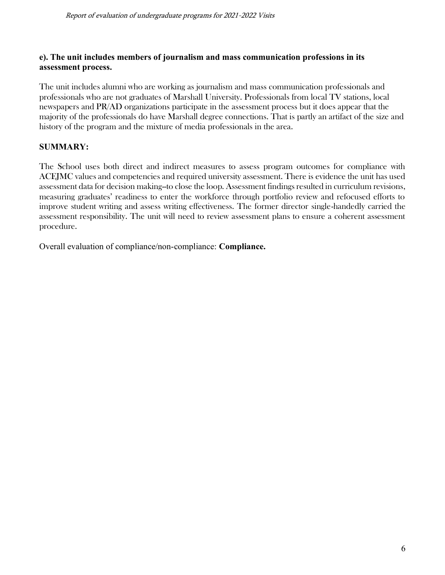### **e). The unit includes members of journalism and mass communication professions in its assessment process.**

The unit includes alumni who are working as journalism and mass communication professionals and professionals who are not graduates of Marshall University. Professionals from local TV stations, local newspapers and PR/AD organizations participate in the assessment process but it does appear that the majority of the professionals do have Marshall degree connections. That is partly an artifact of the size and history of the program and the mixture of media professionals in the area.

## **SUMMARY:**

The School uses both direct and indirect measures to assess program outcomes for compliance with ACEJMC values and competencies and required university assessment. There is evidence the unit has used assessment data for decision making--to close the loop. Assessment findings resulted in curriculum revisions, measuring graduates' readiness to enter the workforce through portfolio review and refocused efforts to improve student writing and assess writing effectiveness. The former director single-handedly carried the assessment responsibility. The unit will need to review assessment plans to ensure a coherent assessment procedure.

Overall evaluation of compliance/non-compliance: **Compliance.**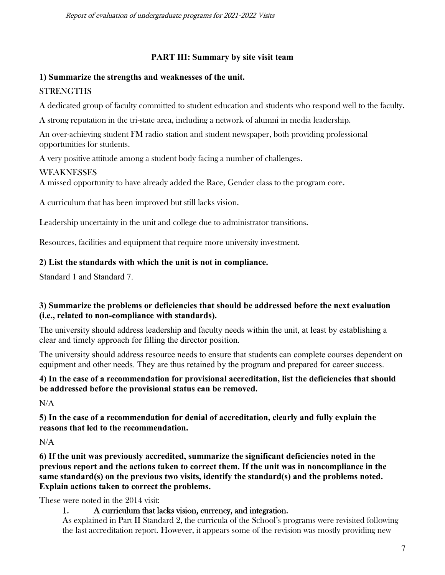### **PART III: Summary by site visit team**

### **1) Summarize the strengths and weaknesses of the unit.**

## **STRENGTHS**

A dedicated group of faculty committed to student education and students who respond well to the faculty.

A strong reputation in the tri-state area, including a network of alumni in media leadership.

An over-achieving student FM radio station and student newspaper, both providing professional opportunities for students.

A very positive attitude among a student body facing a number of challenges.

### WEAKNESSES

A missed opportunity to have already added the Race, Gender class to the program core.

A curriculum that has been improved but still lacks vision.

Leadership uncertainty in the unit and college due to administrator transitions.

Resources, facilities and equipment that require more university investment.

## **2) List the standards with which the unit is not in compliance.**

Standard 1 and Standard 7.

## **3) Summarize the problems or deficiencies that should be addressed before the next evaluation (i.e., related to non-compliance with standards).**

The university should address leadership and faculty needs within the unit, at least by establishing a clear and timely approach for filling the director position.

The university should address resource needs to ensure that students can complete courses dependent on equipment and other needs. They are thus retained by the program and prepared for career success.

### **4) In the case of a recommendation for provisional accreditation, list the deficiencies that should be addressed before the provisional status can be removed.**

 $N/A$ 

**5) In the case of a recommendation for denial of accreditation, clearly and fully explain the reasons that led to the recommendation.**

 $N/A$ 

**6) If the unit was previously accredited, summarize the significant deficiencies noted in the previous report and the actions taken to correct them. If the unit was in noncompliance in the same standard(s) on the previous two visits, identify the standard(s) and the problems noted. Explain actions taken to correct the problems.** 

These were noted in the 2014 visit:

## 1. A curriculum that lacks vision, currency, and integration.

As explained in Part II Standard 2, the curricula of the School's programs were revisited following the last accreditation report. However, it appears some of the revision was mostly providing new